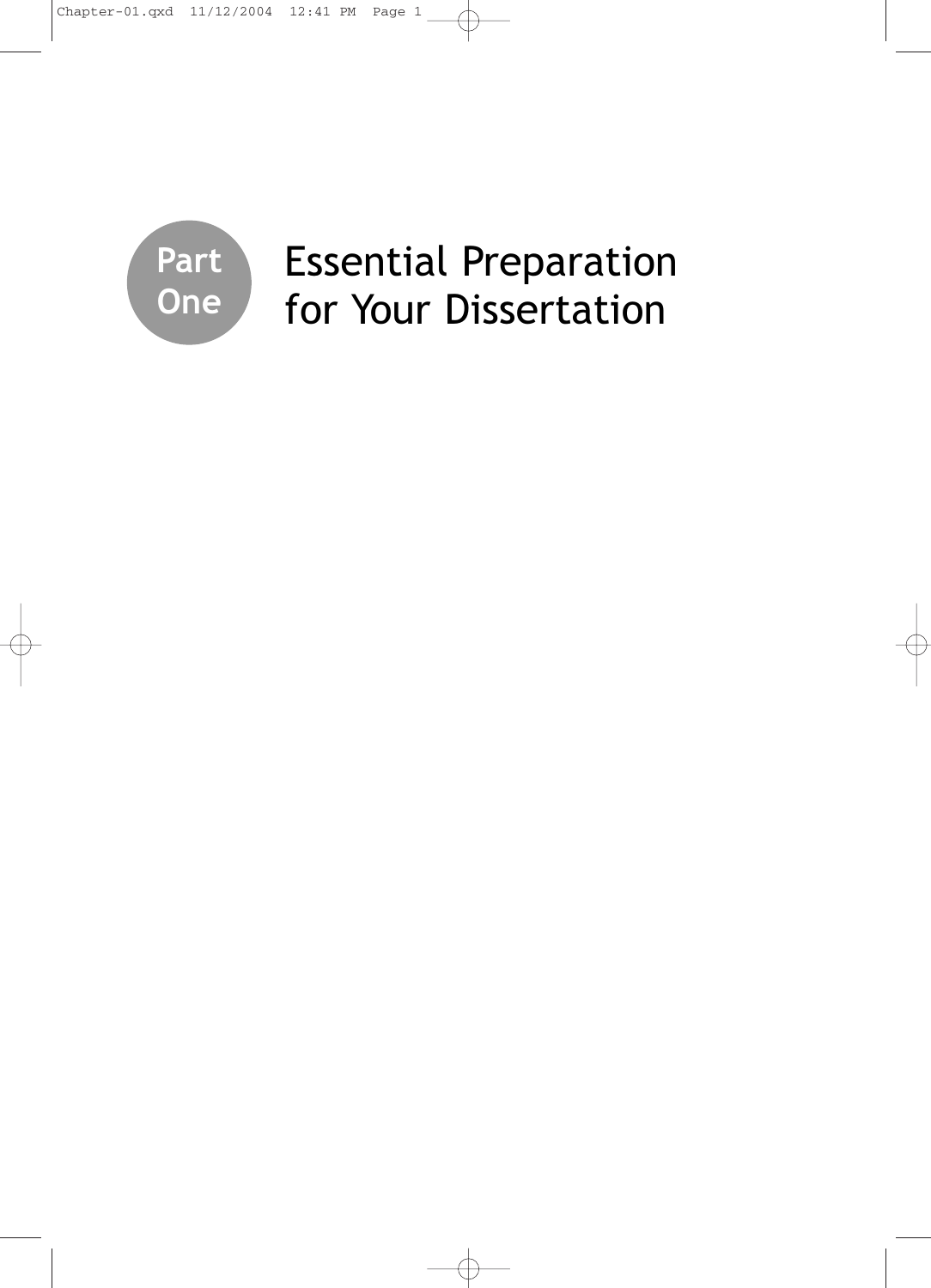

# Essential Preparation for Your Dissertation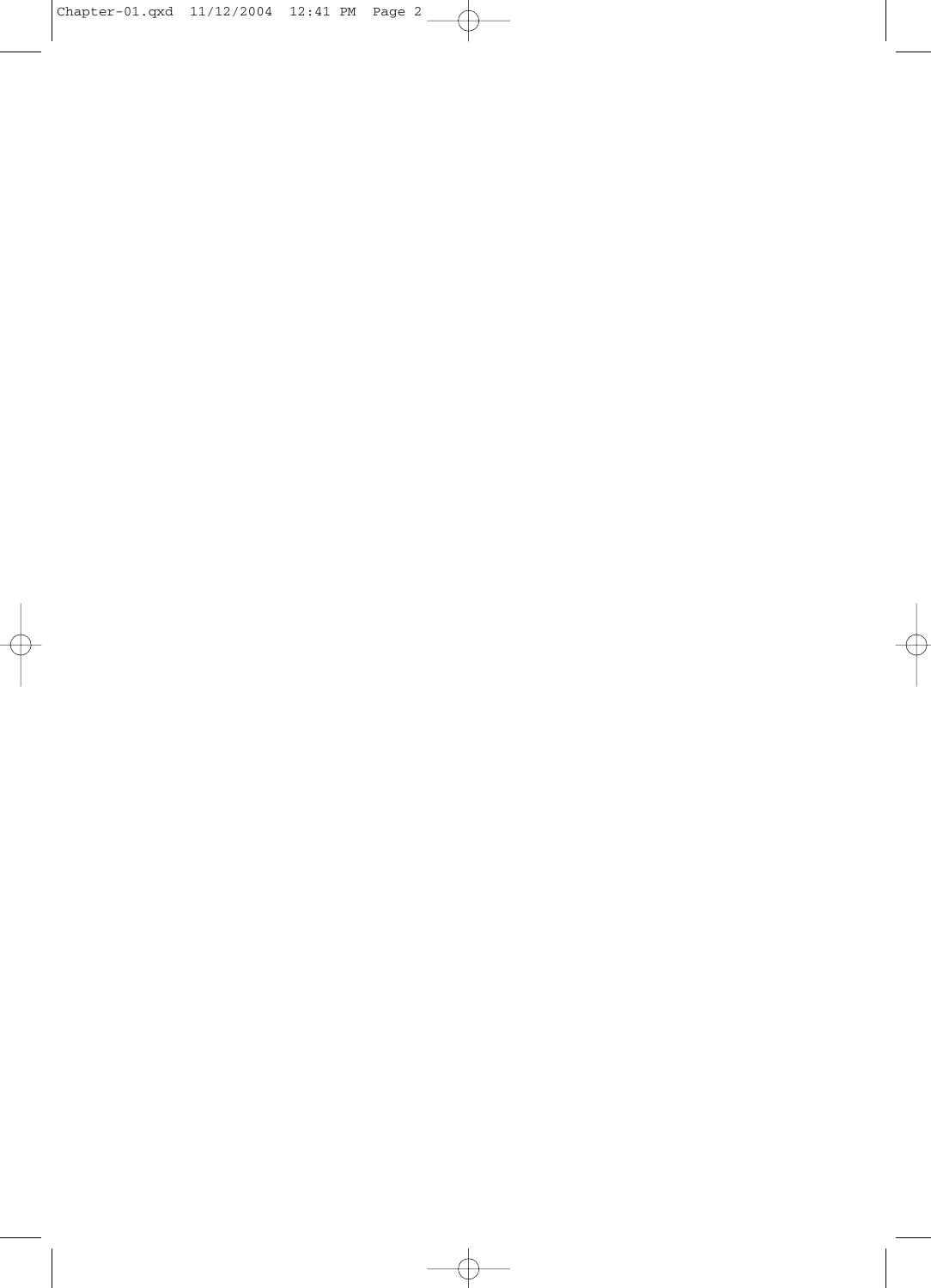Chapter-01.qxd 11/12/2004 12:41 PM Page 2 $\phi$ 

 $\bigoplus$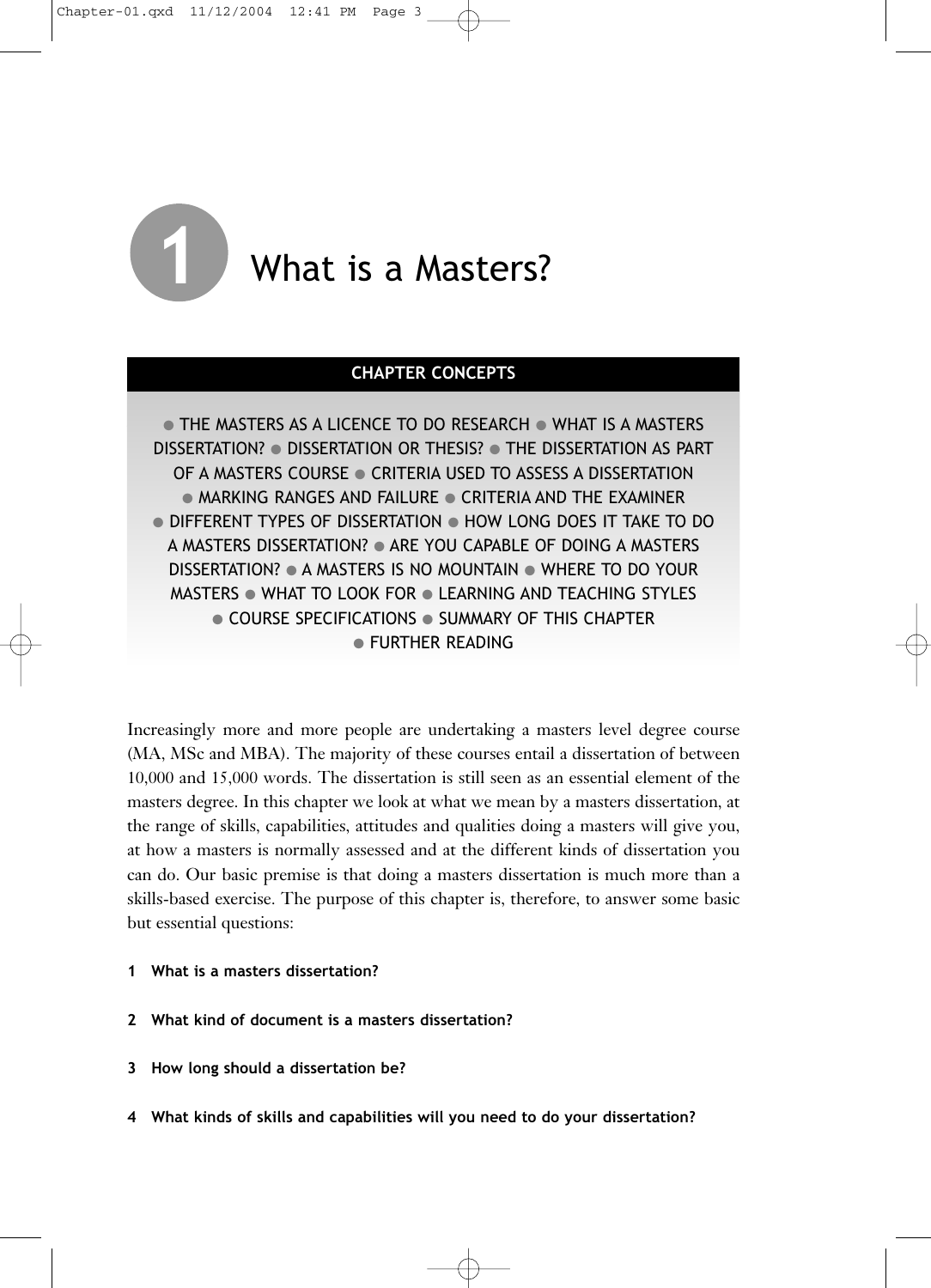# 1 What is a Masters?

## CHAPTER CONCEPTS

● THE MASTERS AS A LICENCE TO DO RESEARCH ● WHAT IS A MASTERS DISSERTATION? ● DISSERTATION OR THESIS? ● THE DISSERTATION AS PART OF A MASTERS COURSE ● CRITERIA USED TO ASSESS A DISSERTATION ● MARKING RANGES AND FAILURE ● CRITERIA AND THE EXAMINER ● DIFFERENT TYPES OF DISSERTATION ● HOW LONG DOES IT TAKE TO DO A MASTERS DISSERTATION? ● ARE YOU CAPABLE OF DOING A MASTERS DISSERTATION? ● A MASTERS IS NO MOUNTAIN ● WHERE TO DO YOUR MASTERS ● WHAT TO LOOK FOR ● LEARNING AND TEACHING STYLES ● COURSE SPECIFICATIONS ● SUMMARY OF THIS CHAPTER ● FURTHER READING

Increasingly more and more people are undertaking a masters level degree course (MA, MSc and MBA). The majority of these courses entail a dissertation of between 10,000 and 15,000 words. The dissertation is still seen as an essential element of the masters degree. In this chapter we look at what we mean by a masters dissertation, at the range of skills, capabilities, attitudes and qualities doing a masters will give you, at how a masters is normally assessed and at the different kinds of dissertation you can do. Our basic premise is that doing a masters dissertation is much more than a skills-based exercise. The purpose of this chapter is, therefore, to answer some basic but essential questions:

#### 1 What is a masters dissertation?

- 2 What kind of document is a masters dissertation?
- 3 How long should a dissertation be?
- 4 What kinds of skills and capabilities will you need to do your dissertation?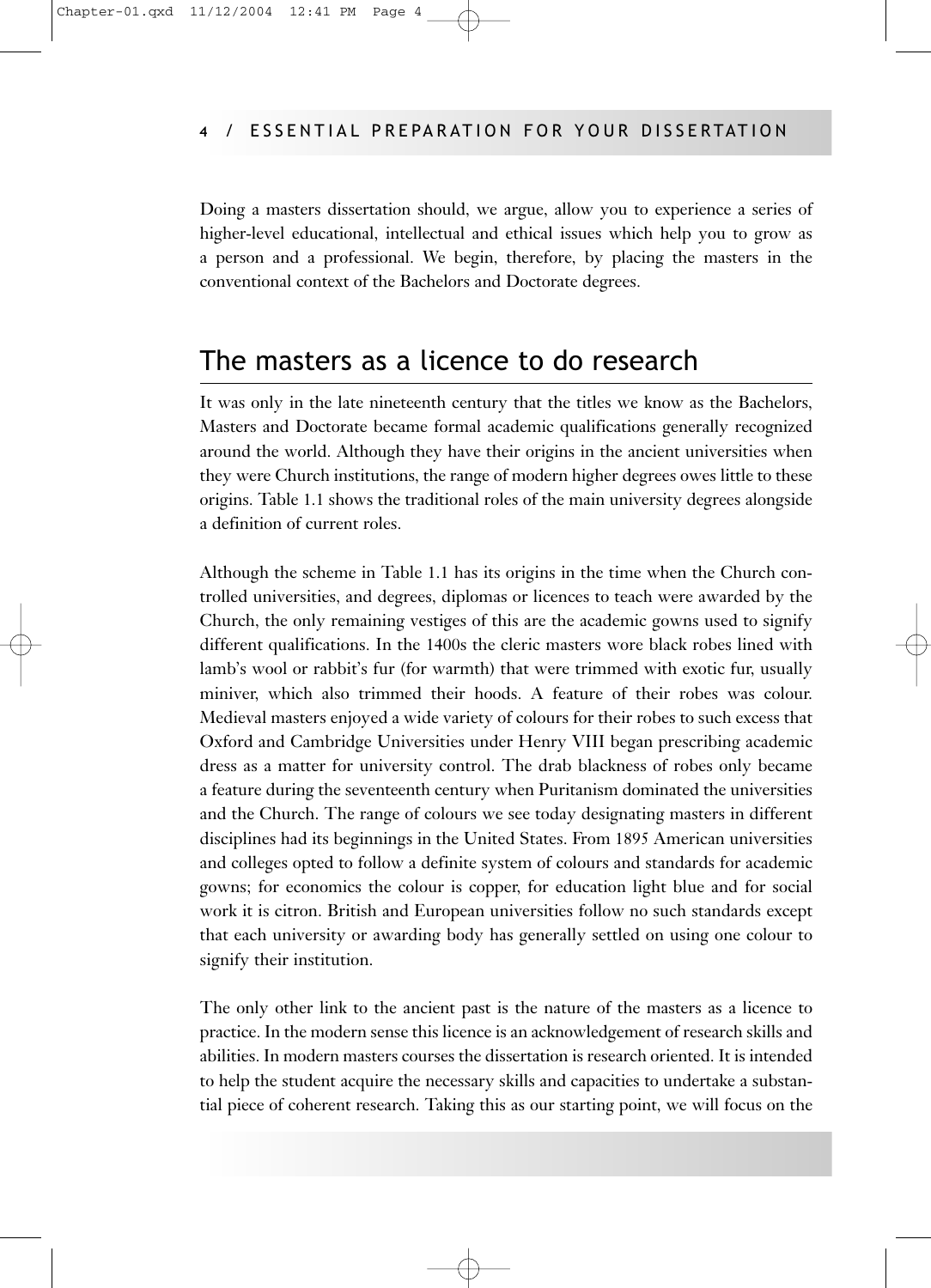Doing a masters dissertation should, we argue, allow you to experience a series of higher-level educational, intellectual and ethical issues which help you to grow as a person and a professional. We begin, therefore, by placing the masters in the conventional context of the Bachelors and Doctorate degrees.

## The masters as a licence to do research

It was only in the late nineteenth century that the titles we know as the Bachelors, Masters and Doctorate became formal academic qualifications generally recognized around the world. Although they have their origins in the ancient universities when they were Church institutions, the range of modern higher degrees owes little to these origins. Table 1.1 shows the traditional roles of the main university degrees alongside a definition of current roles.

Although the scheme in Table 1.1 has its origins in the time when the Church controlled universities, and degrees, diplomas or licences to teach were awarded by the Church, the only remaining vestiges of this are the academic gowns used to signify different qualifications. In the 1400s the cleric masters wore black robes lined with lamb's wool or rabbit's fur (for warmth) that were trimmed with exotic fur, usually miniver, which also trimmed their hoods. A feature of their robes was colour. Medieval masters enjoyed a wide variety of colours for their robes to such excess that Oxford and Cambridge Universities under Henry VIII began prescribing academic dress as a matter for university control. The drab blackness of robes only became a feature during the seventeenth century when Puritanism dominated the universities and the Church. The range of colours we see today designating masters in different disciplines had its beginnings in the United States. From 1895 American universities and colleges opted to follow a definite system of colours and standards for academic gowns; for economics the colour is copper, for education light blue and for social work it is citron. British and European universities follow no such standards except that each university or awarding body has generally settled on using one colour to signify their institution.

The only other link to the ancient past is the nature of the masters as a licence to practice. In the modern sense this licence is an acknowledgement of research skills and abilities. In modern masters courses the dissertation is research oriented. It is intended to help the student acquire the necessary skills and capacities to undertake a substantial piece of coherent research. Taking this as our starting point, we will focus on the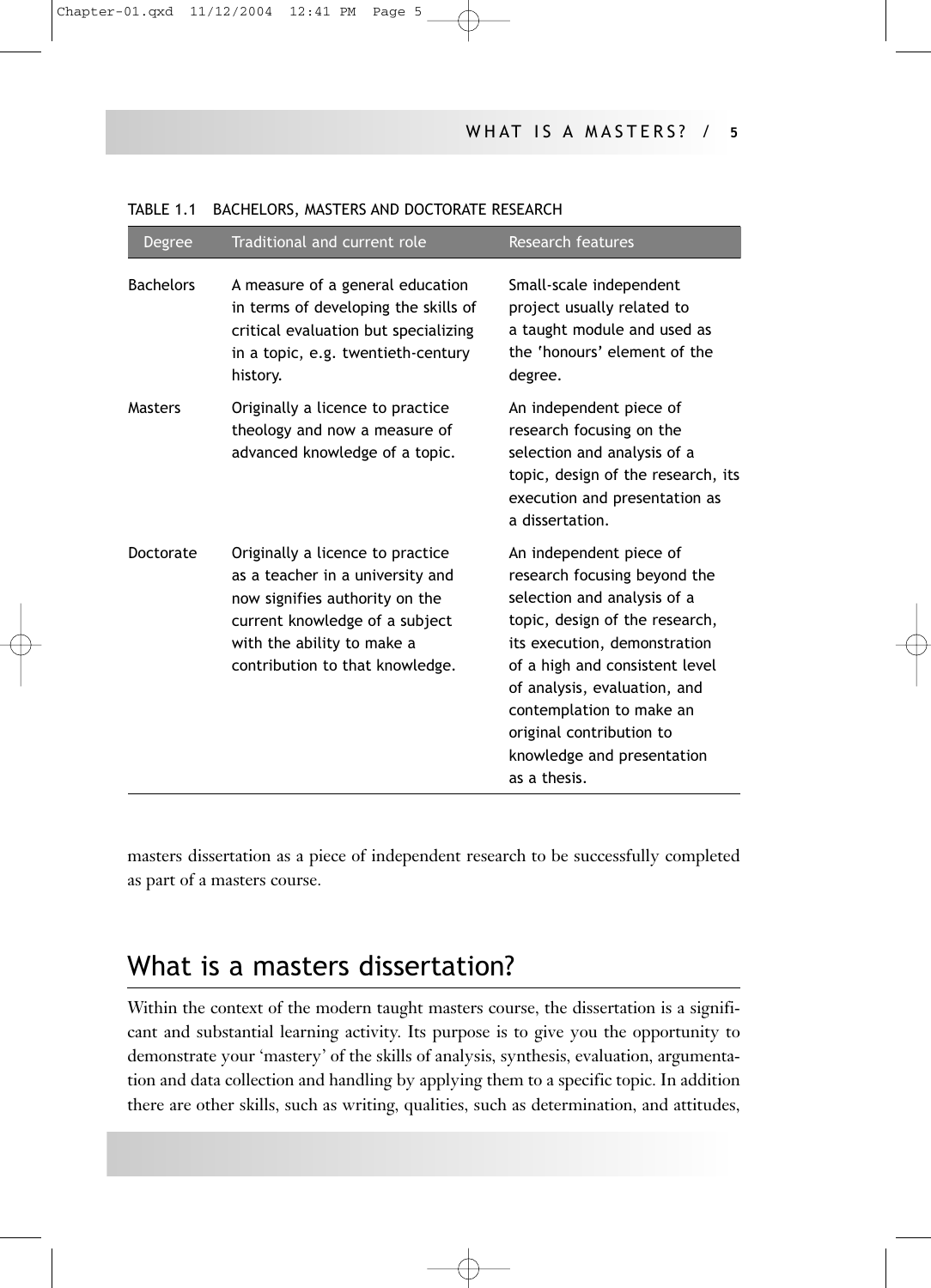| Degree           | Traditional and current role                                                                                                                                                                              | Research features                                                                                                                                                                                                                                                                                                                |
|------------------|-----------------------------------------------------------------------------------------------------------------------------------------------------------------------------------------------------------|----------------------------------------------------------------------------------------------------------------------------------------------------------------------------------------------------------------------------------------------------------------------------------------------------------------------------------|
| <b>Bachelors</b> | A measure of a general education<br>in terms of developing the skills of<br>critical evaluation but specializing<br>in a topic, e.g. twentieth-century<br>history.                                        | Small-scale independent<br>project usually related to<br>a taught module and used as<br>the 'honours' element of the<br>degree.                                                                                                                                                                                                  |
| Masters          | Originally a licence to practice<br>theology and now a measure of<br>advanced knowledge of a topic.                                                                                                       | An independent piece of<br>research focusing on the<br>selection and analysis of a<br>topic, design of the research, its<br>execution and presentation as<br>a dissertation.                                                                                                                                                     |
| Doctorate        | Originally a licence to practice<br>as a teacher in a university and<br>now signifies authority on the<br>current knowledge of a subject<br>with the ability to make a<br>contribution to that knowledge. | An independent piece of<br>research focusing beyond the<br>selection and analysis of a<br>topic, design of the research,<br>its execution, demonstration<br>of a high and consistent level<br>of analysis, evaluation, and<br>contemplation to make an<br>original contribution to<br>knowledge and presentation<br>as a thesis. |

#### TABLE 1.1 BACHELORS, MASTERS AND DOCTORATE RESEARCH

masters dissertation as a piece of independent research to be successfully completed as part of a masters course.

# What is a masters dissertation?

Within the context of the modern taught masters course, the dissertation is a significant and substantial learning activity. Its purpose is to give you the opportunity to demonstrate your 'mastery' of the skills of analysis, synthesis, evaluation, argumentation and data collection and handling by applying them to a specific topic. In addition there are other skills, such as writing, qualities, such as determination, and attitudes,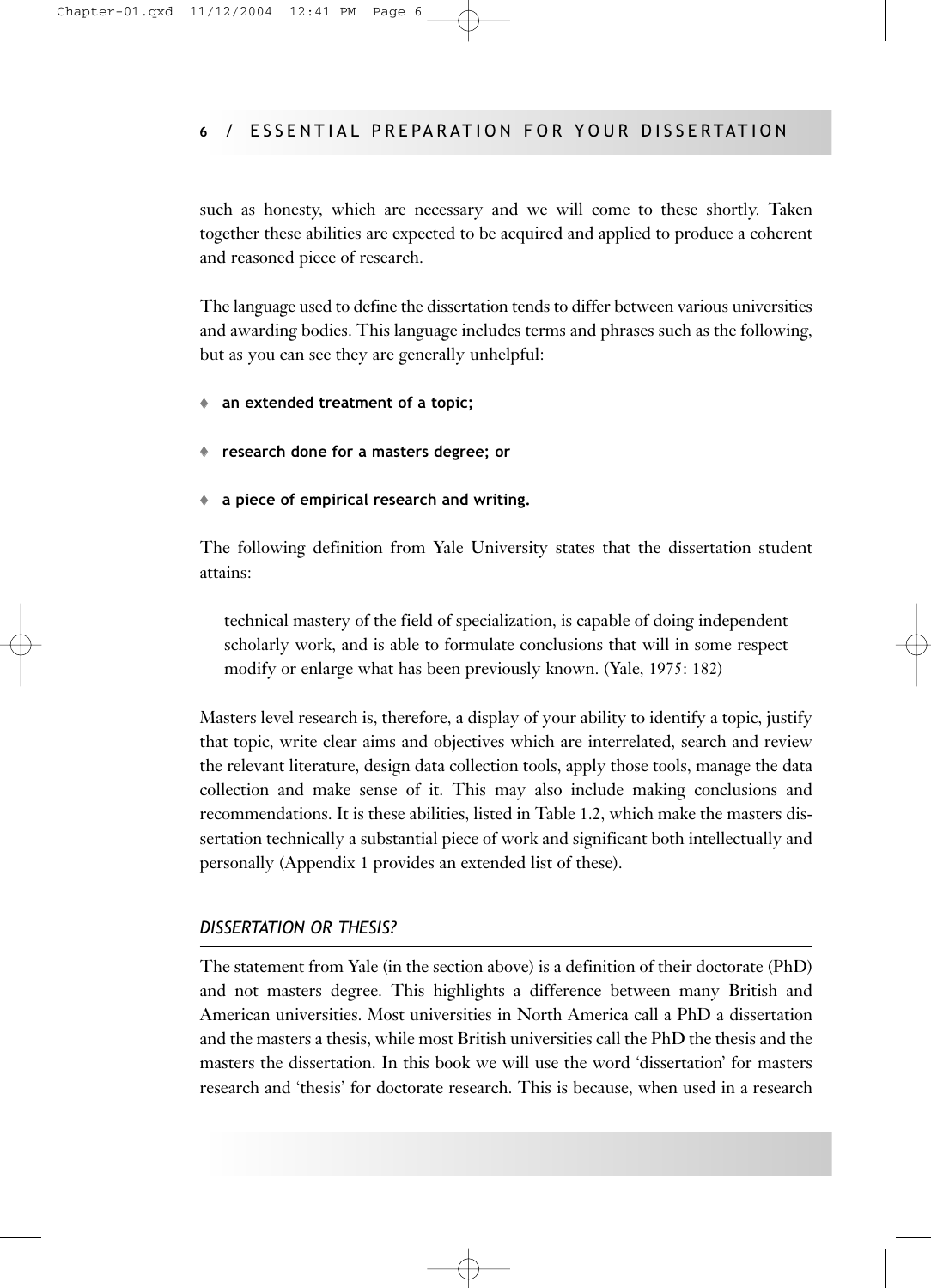such as honesty, which are necessary and we will come to these shortly. Taken together these abilities are expected to be acquired and applied to produce a coherent and reasoned piece of research.

The language used to define the dissertation tends to differ between various universities and awarding bodies. This language includes terms and phrases such as the following, but as you can see they are generally unhelpful:

- an extended treatment of a topic;
- research done for a masters degree; or
- ♦ a piece of empirical research and writing.

The following definition from Yale University states that the dissertation student attains:

technical mastery of the field of specialization, is capable of doing independent scholarly work, and is able to formulate conclusions that will in some respect modify or enlarge what has been previously known. (Yale, 1975: 182)

Masters level research is, therefore, a display of your ability to identify a topic, justify that topic, write clear aims and objectives which are interrelated, search and review the relevant literature, design data collection tools, apply those tools, manage the data collection and make sense of it. This may also include making conclusions and recommendations. It is these abilities, listed in Table 1.2, which make the masters dissertation technically a substantial piece of work and significant both intellectually and personally (Appendix 1 provides an extended list of these).

#### DISSERTATION OR THESIS?

The statement from Yale (in the section above) is a definition of their doctorate (PhD) and not masters degree. This highlights a difference between many British and American universities. Most universities in North America call a PhD a dissertation and the masters a thesis, while most British universities call the PhD the thesis and the masters the dissertation. In this book we will use the word 'dissertation' for masters research and 'thesis' for doctorate research. This is because, when used in a research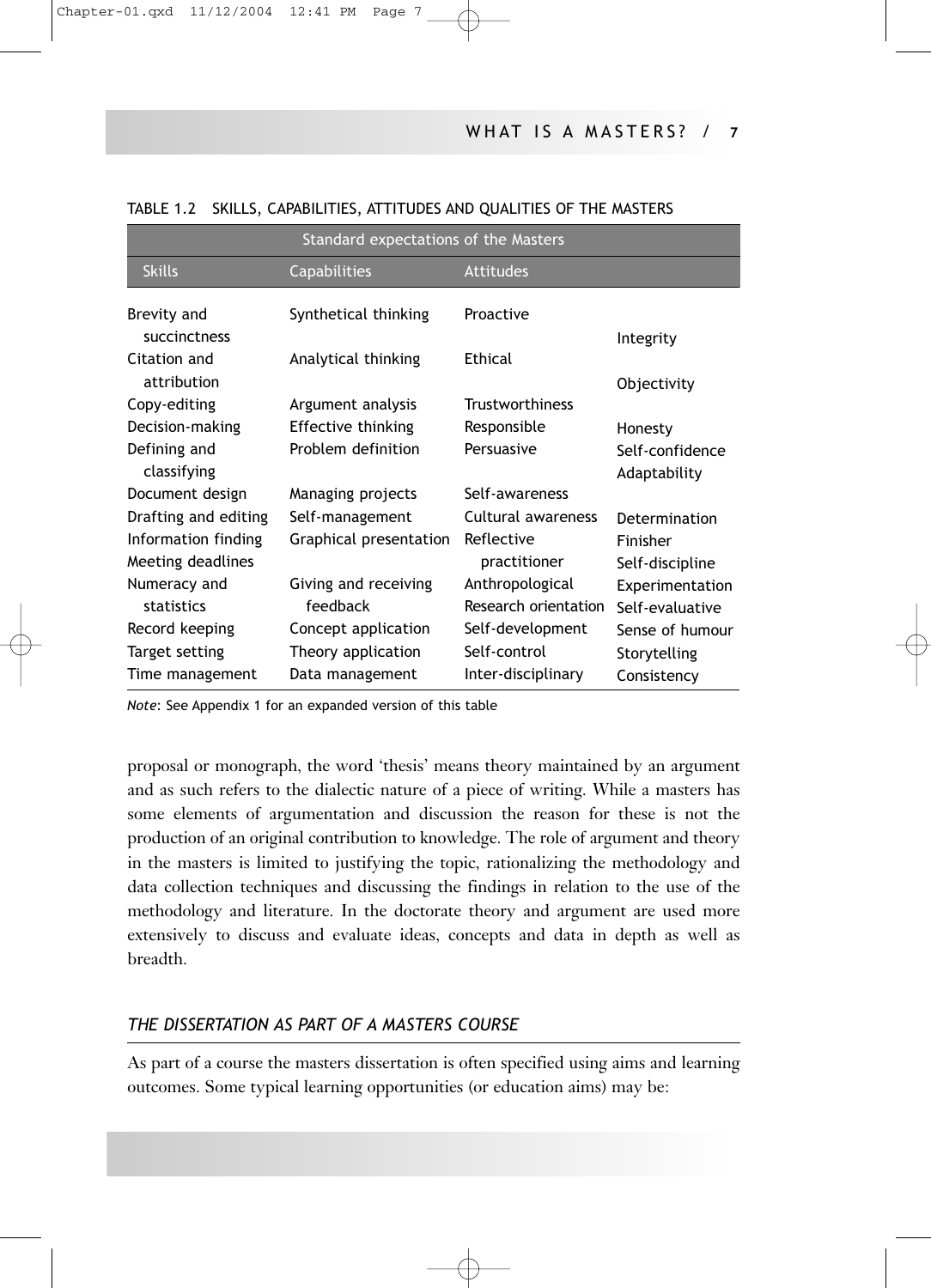|                             | Standard expectations of the Masters |                        |                                 |
|-----------------------------|--------------------------------------|------------------------|---------------------------------|
| <b>Skills</b>               | Capabilities                         | <b>Attitudes</b>       |                                 |
| Brevity and<br>succinctness | Synthetical thinking                 | Proactive              | Integrity                       |
| Citation and<br>attribution | Analytical thinking                  | Ethical                | Objectivity                     |
| Copy-editing                | Argument analysis                    | <b>Trustworthiness</b> |                                 |
| Decision-making             | Effective thinking                   | Responsible            | Honesty                         |
| Defining and<br>classifying | Problem definition                   | Persuasive             | Self-confidence<br>Adaptability |
| Document design             | Managing projects                    | Self-awareness         |                                 |
| Drafting and editing        | Self-management                      | Cultural awareness     | Determination                   |
| Information finding         | Graphical presentation               | Reflective             | Finisher                        |
| Meeting deadlines           |                                      | practitioner           | Self-discipline                 |
| Numeracy and                | Giving and receiving                 | Anthropological        | Experimentation                 |
| statistics                  | feedback                             | Research orientation   | Self-evaluative                 |
| Record keeping              | Concept application                  | Self-development       | Sense of humour                 |
| Target setting              | Theory application                   | Self-control           | Storytelling                    |
| Time management             | Data management                      | Inter-disciplinary     | Consistency                     |

#### TABLE 1.2 SKILLS, CAPABILITIES, ATTITUDES AND QUALITIES OF THE MASTERS

Note: See Appendix 1 for an expanded version of this table

proposal or monograph, the word 'thesis' means theory maintained by an argument and as such refers to the dialectic nature of a piece of writing. While a masters has some elements of argumentation and discussion the reason for these is not the production of an original contribution to knowledge. The role of argument and theory in the masters is limited to justifying the topic, rationalizing the methodology and data collection techniques and discussing the findings in relation to the use of the methodology and literature. In the doctorate theory and argument are used more extensively to discuss and evaluate ideas, concepts and data in depth as well as breadth.

#### THE DISSERTATION AS PART OF A MASTERS COURSE

As part of a course the masters dissertation is often specified using aims and learning outcomes. Some typical learning opportunities (or education aims) may be: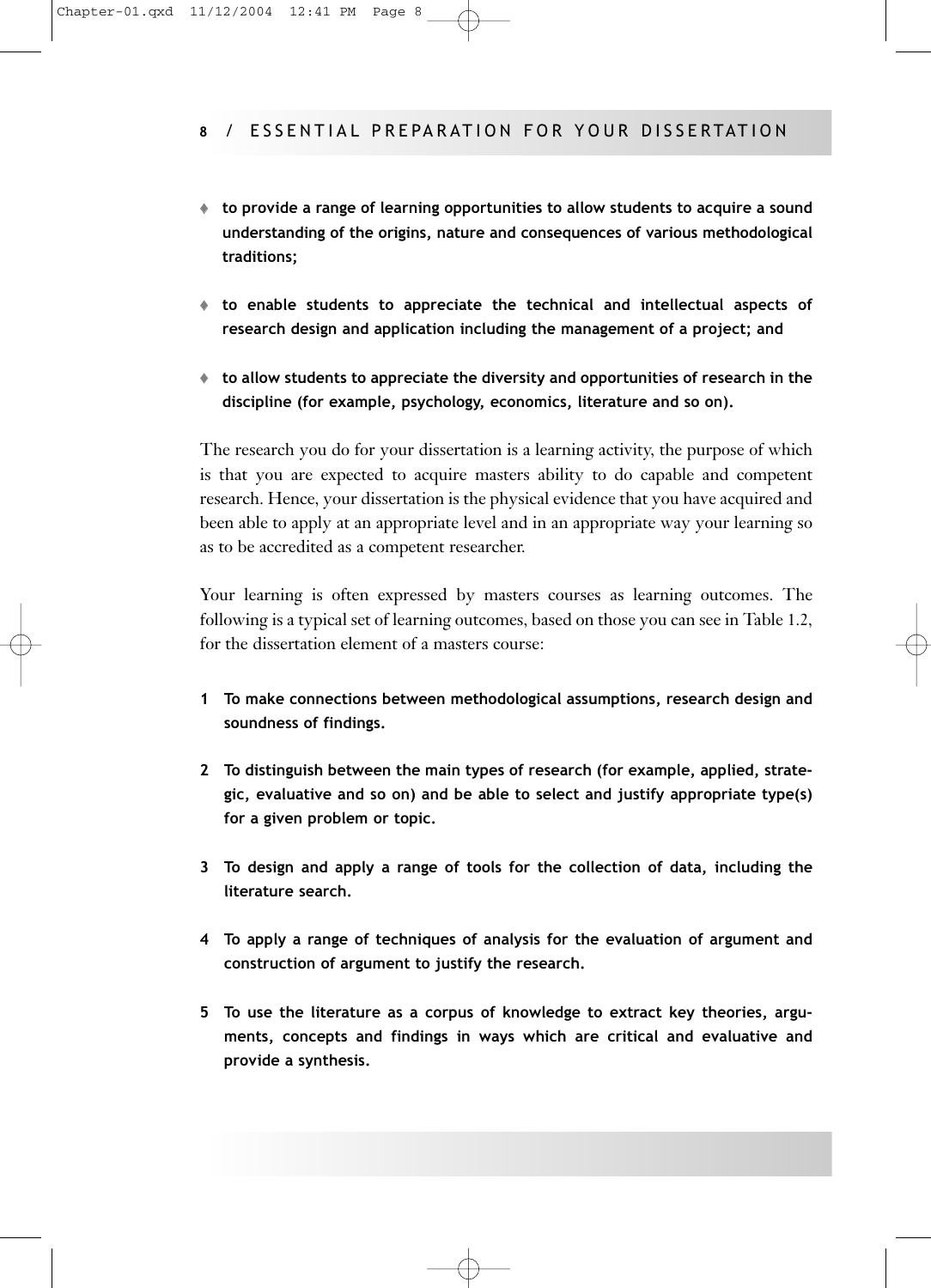- ♦ to provide a range of learning opportunities to allow students to acquire a sound understanding of the origins, nature and consequences of various methodological traditions;
- ♦ to enable students to appreciate the technical and intellectual aspects of research design and application including the management of a project; and
- ♦ to allow students to appreciate the diversity and opportunities of research in the discipline (for example, psychology, economics, literature and so on).

The research you do for your dissertation is a learning activity, the purpose of which is that you are expected to acquire masters ability to do capable and competent research. Hence, your dissertation is the physical evidence that you have acquired and been able to apply at an appropriate level and in an appropriate way your learning so as to be accredited as a competent researcher.

Your learning is often expressed by masters courses as learning outcomes. The following is a typical set of learning outcomes, based on those you can see in Table 1.2, for the dissertation element of a masters course:

- 1 To make connections between methodological assumptions, research design and soundness of findings.
- 2 To distinguish between the main types of research (for example, applied, strategic, evaluative and so on) and be able to select and justify appropriate type(s) for a given problem or topic.
- 3 To design and apply a range of tools for the collection of data, including the literature search.
- 4 To apply a range of techniques of analysis for the evaluation of argument and construction of argument to justify the research.
- 5 To use the literature as a corpus of knowledge to extract key theories, arguments, concepts and findings in ways which are critical and evaluative and provide a synthesis.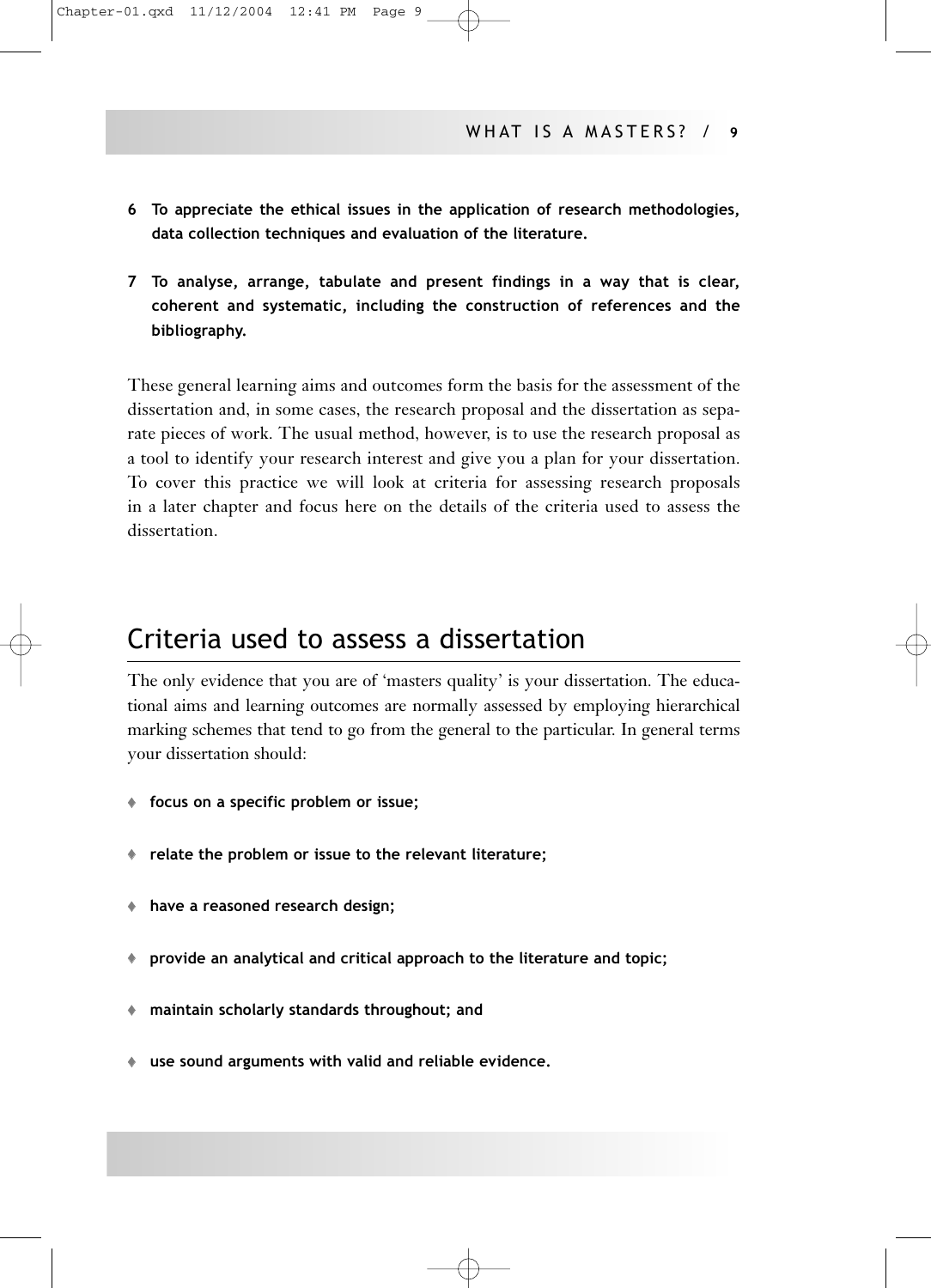- 6 To appreciate the ethical issues in the application of research methodologies, data collection techniques and evaluation of the literature.
- 7 To analyse, arrange, tabulate and present findings in a way that is clear, coherent and systematic, including the construction of references and the bibliography.

These general learning aims and outcomes form the basis for the assessment of the dissertation and, in some cases, the research proposal and the dissertation as separate pieces of work. The usual method, however, is to use the research proposal as a tool to identify your research interest and give you a plan for your dissertation. To cover this practice we will look at criteria for assessing research proposals in a later chapter and focus here on the details of the criteria used to assess the dissertation.

# Criteria used to assess a dissertation

The only evidence that you are of 'masters quality' is your dissertation. The educational aims and learning outcomes are normally assessed by employing hierarchical marking schemes that tend to go from the general to the particular. In general terms your dissertation should:

♦ focus on a specific problem or issue;

Chapter-01.qxd 11/12/2004 12:41 PM

- relate the problem or issue to the relevant literature;
- ♦ have a reasoned research design;
- ♦ provide an analytical and critical approach to the literature and topic;
- ♦ maintain scholarly standards throughout; and
- ♦ use sound arguments with valid and reliable evidence.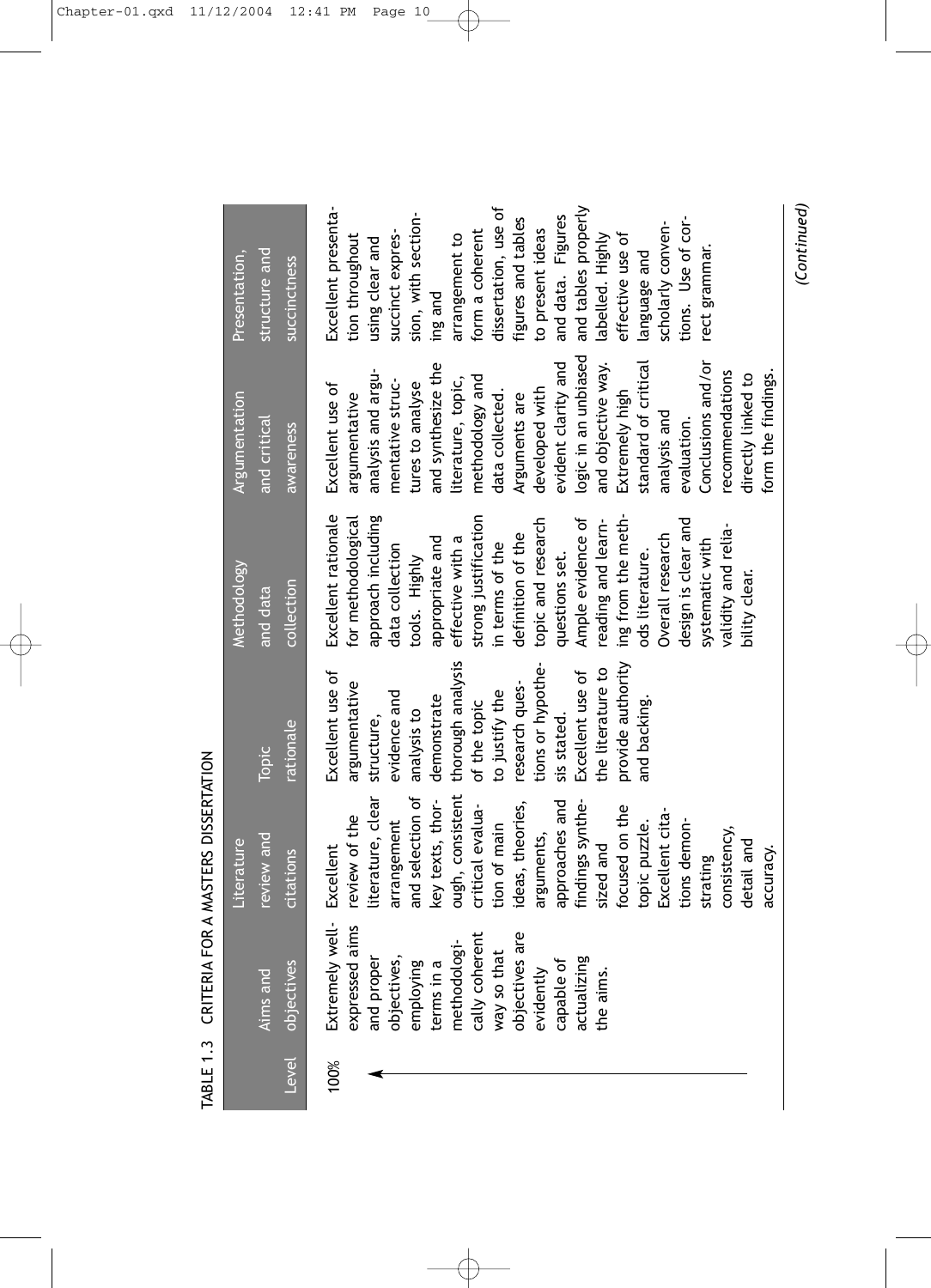| $\frac{1}{2}$<br>l<br>i<br>!<br>í |                |
|-----------------------------------|----------------|
| ï<br>í<br>Ì                       | ֚֚֓֕<br>-<br>} |
| í<br>I                            |                |
| ı<br>í<br>į                       | ī              |
| ¢<br>:<br>;<br>;                  |                |

|       |                              | Literature        |                   | Methodology          | Argumentation        | Presentation,        |
|-------|------------------------------|-------------------|-------------------|----------------------|----------------------|----------------------|
|       | Aims and                     | review and        | Topic             | and data             | and critical         | structure and        |
| Level | cs<br>objectiv               | citations         | rationale         | collection           | awareness            | succinctness         |
| 100%  | Extremely well-<br>Excellent |                   | Excellent use of  | Excellent rationale  | Excellent use of     | Excellent presenta-  |
|       | expressed aims               | review of the     | argumentative     | for methodological   | argumentative        | tion throughout      |
|       | and proper                   | literature, clear | structure,        | approach including   | analysis and argu-   | using clear and      |
|       | objectives,                  | arrangement       | evidence and      | data collection      | mentative struc-     | succinct expres-     |
|       | employing                    | and selection of  | analysis to       | tools. Highly        | tures to analyse     | sion, with section-  |
|       | ā<br>terms in                | key texts, thor-  | demonstrate       | appropriate and      | and synthesize the   | ing and              |
|       | methodologi-                 | ough, consistent  | thorough analysis | effective with a     | literature, topic,   | arrangement to       |
|       | cally coherent               | critical evalua-  | of the topic      | strong justification | methodology and      | form a coherent      |
|       | way so that                  | tion of main      | to justify the    | in terms of the      | data collected.      | dissertation, use of |
|       | objectives are               | ideas, theories,  | research ques-    | definition of the    | Arguments are        | figures and tables   |
|       | evidently                    | arguments,        | tions or hypothe- | topic and research   | developed with       | to present ideas     |
|       | capable of                   | approaches and    | sis stated.       | questions set.       | evident clarity and  | and data. Figures    |
|       | ing<br>actualizi             | findings synthe-  | Excellent use of  | Ample evidence of    | logic in an unbiased | and tables properly  |
|       | the aims.                    | sized and         | the literature to | reading and learn-   | and objective way.   | labelled. Highly     |
|       |                              | focused on the    | provide authority | ing from the meth-   | Extremely high       | effective use of     |
|       |                              | topic puzzle.     | and backing.      | ods literature.      | standard of critical | language and         |
|       |                              | Excellent cita-   |                   | Overall research     | analysis and         | scholarly conven-    |
|       |                              | tions demon-      |                   | design is clear and  | evaluation.          | tions. Use of cor-   |
|       |                              | strating          |                   | systematic with      | Conclusions and/or   | rect grammar.        |
|       |                              | consistency,      |                   | validity and relia-  | recommendations      |                      |
|       |                              | detail and        |                   | bility clear.        | directly linked to   |                      |
|       |                              | accuracy.         |                   |                      | form the findings.   |                      |

 $\oplus$ 

 $\overline{\varphi}$ 

(Continued) (Continued)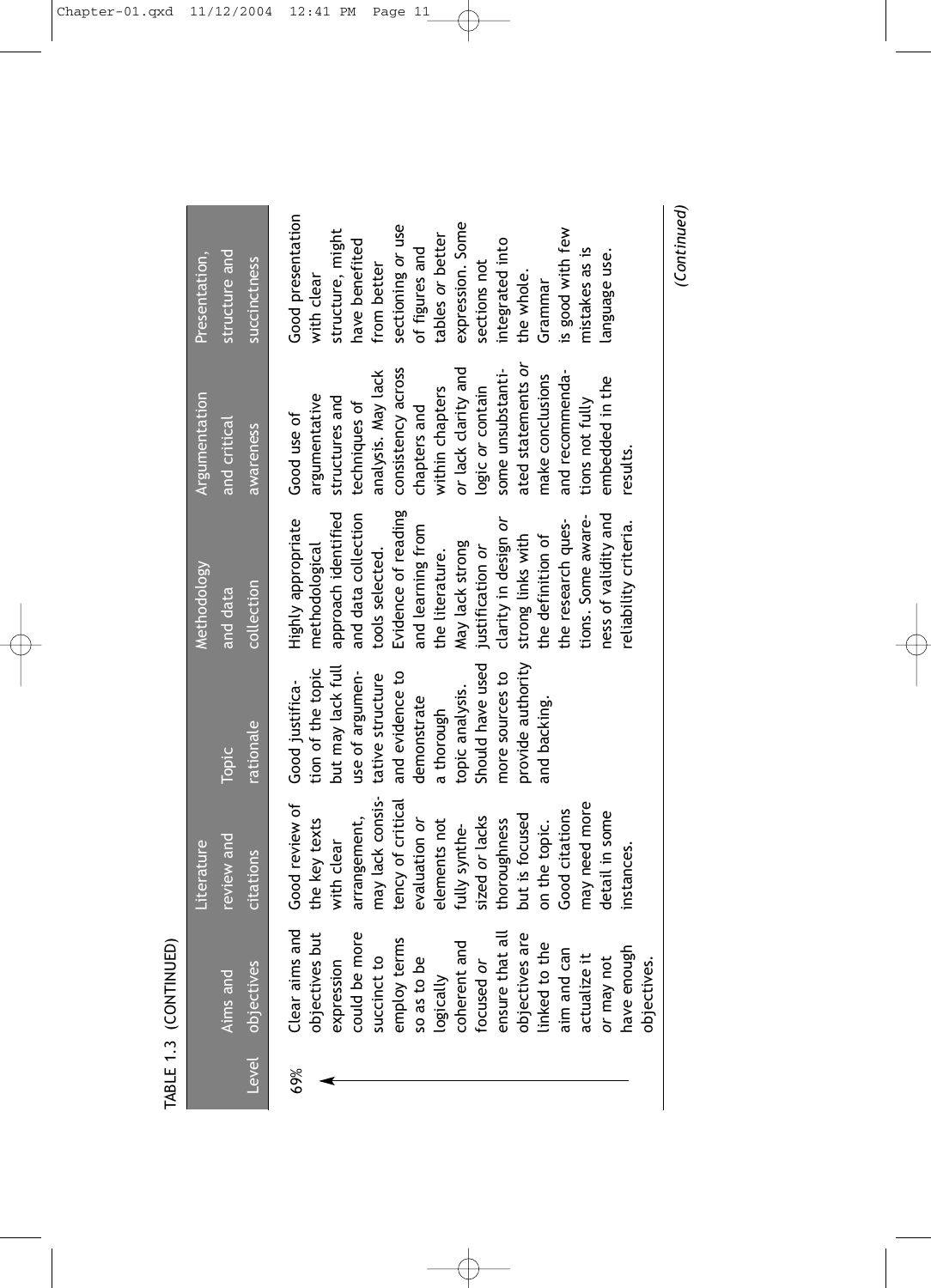| í |
|---|
|   |
|   |
|   |
|   |
|   |
| j |
|   |
|   |
| ı |
| ٦ |
|   |
| L |
|   |
|   |
| ⋖ |

|       |                                       | Literature        |                    | Methodology           | Argumentation       | Presentation,     |
|-------|---------------------------------------|-------------------|--------------------|-----------------------|---------------------|-------------------|
|       | Aims and                              | review and        | Topic <sup>1</sup> | and data              | and critical        | structure and     |
| Level | objectives                            | citations         | rationale          | collection            | awareness           | succinctness      |
|       |                                       |                   |                    |                       |                     |                   |
| 69%   | Clear aims and                        | Good review of    | Good justifica-    | Highly appropriate    | Good use of         | Good presentation |
|       | objectives but                        | the key texts     | tion of the topic  | methodological        | argumentative       | with clear        |
|       | expression                            | with clear        | but may lack full  | approach identified   | structures and      | structure, might  |
|       | could be more                         | arrangement,      | use of argumen-    | and data collection   | techniques of       | have benefited    |
|       | succinct to                           | may lack consis-  | tative structure   | tools selected.       | analysis. May lack  | from better       |
|       | employ terms                          | tency of critical | and evidence to    | Evidence of reading   | consistency across  | sectioning or use |
|       | $\overline{\mathsf{Q}}$<br>so as to b | evaluation or     | demonstrate        | and learning from     | chapters and        | of figures and    |
|       | logically                             | elements not      | a thorough         | the literature.       | within chapters     | tables or better  |
|       | and<br>coherent                       | fully synthe-     | topic analysis.    | May lack strong       | or lack clarity and | expression. Some  |
|       | focused or                            | sized or lacks    | Should have used   | justification or      | logic or contain    | sections not      |
|       | ensure that all                       | thoroughness      | more sources to    | clarity in design or  | some unsubstanti-   | integrated into   |
|       | objectives are                        | but is focused    | provide authority  | strong links with     | ated statements or  | the whole.        |
|       | linked to the                         | on the topic.     | and backing.       | the definition of     | make conclusions    | Grammar           |
|       | aim and can                           | Good citations    |                    | the research ques-    | and recommenda-     | is good with few  |
|       | actualize it                          | may need more     |                    | tions. Some aware-    | tions not fully     | mistakes as is    |
|       | or may not                            | detail in some    |                    | ness of validity and  | embedded in the     | language use.     |
|       | have enough                           | instances.        |                    | reliability criteria. | results.            |                   |
|       | objectives.                           |                   |                    |                       |                     |                   |
|       |                                       |                   |                    |                       |                     |                   |

 $\oplus$ 

 $\overline{\varphi}$ 

(Continued)

(Continued)

Chapter-01.qxd 11/12/2004 12:41 PM Page 11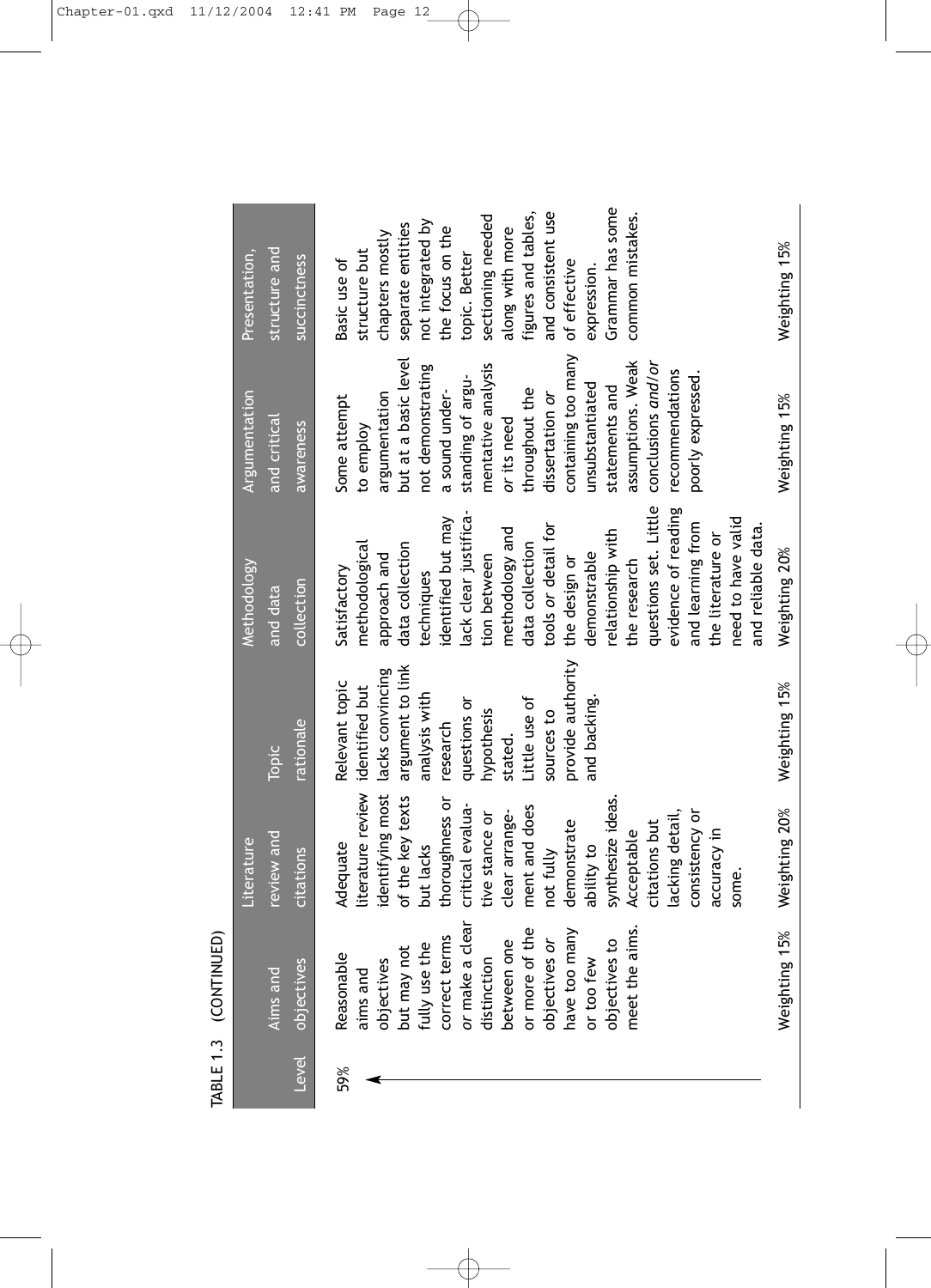|                         | Ï<br>i<br>Cro |
|-------------------------|---------------|
| <b>CONTINUED</b>        |               |
| $\mathbf{r}$<br>TABLE 1 |               |

|              |                 | Literature                       |                                   | Methodology           | Argumentation        | Presentation,       |
|--------------|-----------------|----------------------------------|-----------------------------------|-----------------------|----------------------|---------------------|
|              | Aims and        | review and                       | Topic                             | and data              | and critical         | structure and       |
| <b>Level</b> | objectives      | citations                        | rationale                         | collection            | awareness            | succinctness        |
|              |                 |                                  |                                   |                       |                      |                     |
| 59%          | Reasonable      | Adequate                         | Relevant topic                    | Satisfactory          | Some attempt         | Basic use of        |
|              | aims and        | literature review identified but |                                   | methodological        | to employ            | structure but       |
|              | objectives      |                                  | identifying most lacks convincing | approach and          | argumentation        | chapters mostly     |
|              | but may not     | of the key texts                 | argument to link                  | data collection       | but at a basic level | separate entities   |
|              | fully use the   | but lacks                        | analysis with                     | techniques            | not demonstrating    | not integrated by   |
|              | correct terms   | thoroughness or                  | research                          | identified but may    | a sound under-       | the focus on the    |
|              | or make a clear | critical evalua-                 | questions or                      | lack clear justifica- | standing of argu-    | topic. Better       |
|              | distinction     | tive stance or                   | hypothesis                        | tion between          | mentative analysis   | sectioning needed   |
|              | between one     | clear arrange-                   | stated.                           | methodology and       | or its need          | along with more     |
|              | or more of the  | ment and does                    | Little use of                     | data collection       | throughout the       | figures and tables, |
|              | objectives or   | not fully                        | sources to                        | tools or detail for   | dissertation or      | and consistent use  |
|              | have too many   | demonstrate                      | provide authority                 | the design or         | containing too many  | of effective        |
|              | or too few      | ability to                       | and backing.                      | demonstrable          | unsubstantiated      | expression.         |
|              | objectives to   | synthesize ideas.                |                                   | relationship with     | statements and       | Grammar has some    |
|              | meet the aims.  | Acceptable                       |                                   | the research          | assumptions. Weak    | common mistakes.    |
|              |                 | citations but                    |                                   | questions set. Little | conclusions and/or   |                     |
|              |                 | lacking detail,                  |                                   | evidence of reading   | recommendations      |                     |
|              |                 | consistency or                   |                                   | and learning from     | poorly expressed.    |                     |
|              |                 | accuracy in                      |                                   | the literature or     |                      |                     |
|              |                 | some.                            |                                   | need to have valid    |                      |                     |
|              |                 |                                  |                                   | and reliable data.    |                      |                     |
|              | Weighting 15%   | Weighting 20%                    | Weighting 15%                     | Weighting 20%         | Weighting 15%        | Weighting 15%       |

 $\oplus$ 

 $\overline{\varphi}$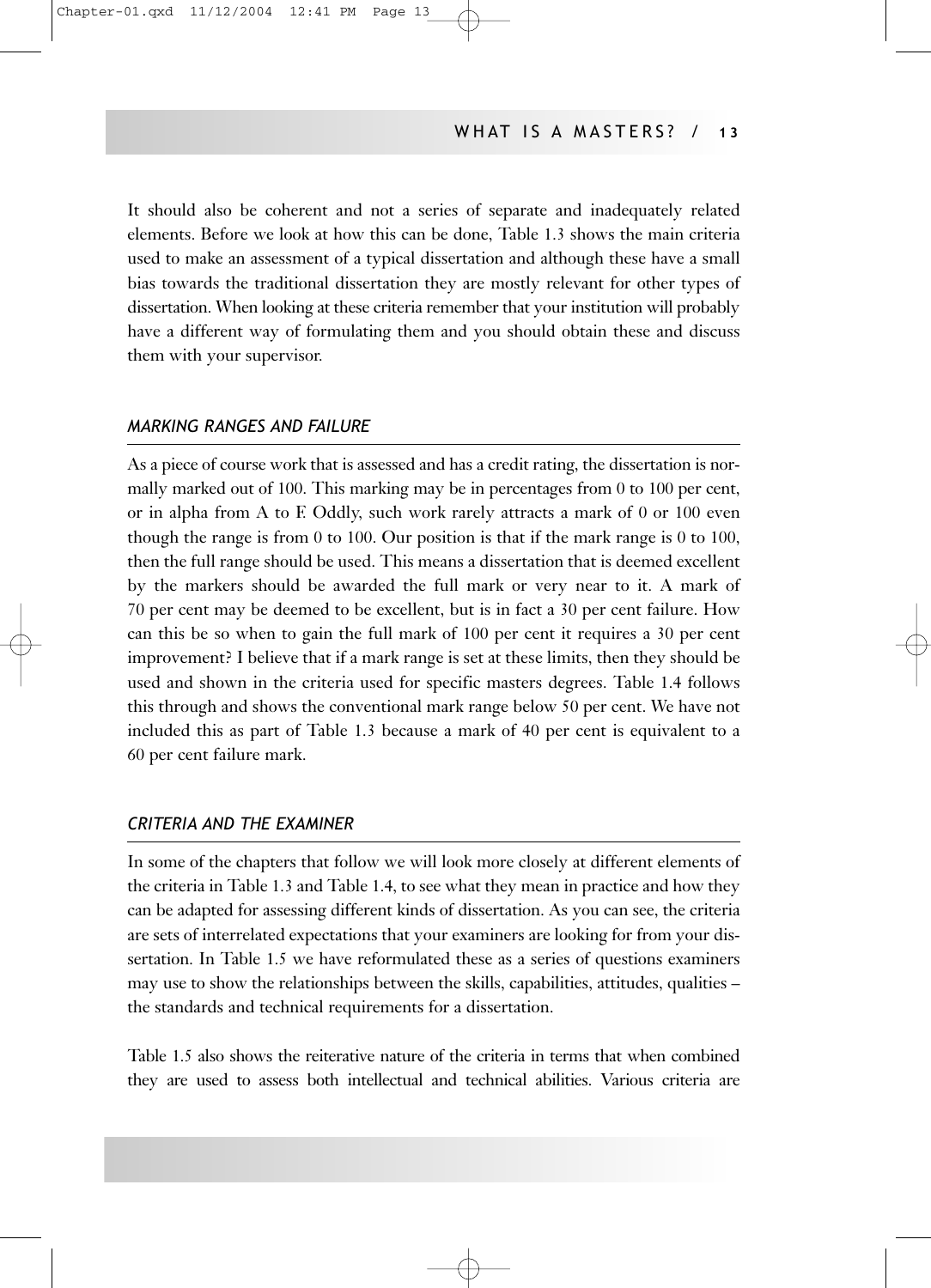It should also be coherent and not a series of separate and inadequately related elements. Before we look at how this can be done, Table 1.3 shows the main criteria used to make an assessment of a typical dissertation and although these have a small bias towards the traditional dissertation they are mostly relevant for other types of dissertation. When looking at these criteria remember that your institution will probably have a different way of formulating them and you should obtain these and discuss them with your supervisor.

#### MARKING RANGES AND FAILURE

Chapter-01.qxd 11/12/2004 12:41 PM Page 13

As a piece of course work that is assessed and has a credit rating, the dissertation is normally marked out of 100. This marking may be in percentages from 0 to 100 per cent, or in alpha from A to F. Oddly, such work rarely attracts a mark of 0 or 100 even though the range is from 0 to 100. Our position is that if the mark range is 0 to 100, then the full range should be used. This means a dissertation that is deemed excellent by the markers should be awarded the full mark or very near to it. A mark of 70 per cent may be deemed to be excellent, but is in fact a 30 per cent failure. How can this be so when to gain the full mark of 100 per cent it requires a 30 per cent improvement? I believe that if a mark range is set at these limits, then they should be used and shown in the criteria used for specific masters degrees. Table 1.4 follows this through and shows the conventional mark range below 50 per cent. We have not included this as part of Table 1.3 because a mark of 40 per cent is equivalent to a 60 per cent failure mark.

#### CRITERIA AND THE EXAMINER

In some of the chapters that follow we will look more closely at different elements of the criteria in Table 1.3 and Table 1.4, to see what they mean in practice and how they can be adapted for assessing different kinds of dissertation. As you can see, the criteria are sets of interrelated expectations that your examiners are looking for from your dissertation. In Table 1.5 we have reformulated these as a series of questions examiners may use to show the relationships between the skills, capabilities, attitudes, qualities – the standards and technical requirements for a dissertation.

Table 1.5 also shows the reiterative nature of the criteria in terms that when combined they are used to assess both intellectual and technical abilities. Various criteria are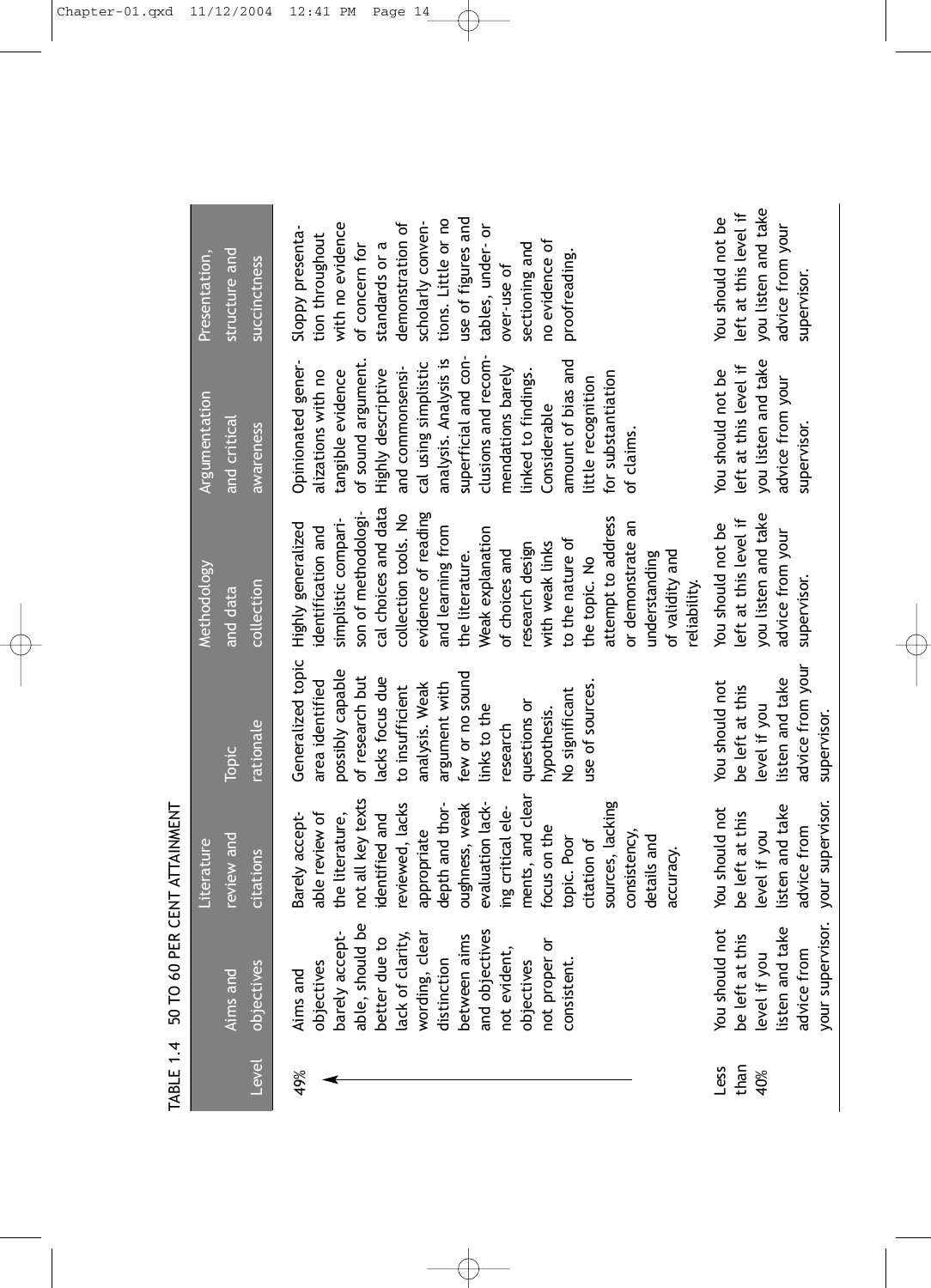|       |                                    | Literature                       |                                      | Methodology                                 | <b>Argumentation</b>                     | Presentation,                         |
|-------|------------------------------------|----------------------------------|--------------------------------------|---------------------------------------------|------------------------------------------|---------------------------------------|
|       | Aims and                           | review and                       | Topic                                | and data                                    | and critical                             | structure and                         |
| Level | objectives                         | citations                        | rationale                            | collection                                  | awareness                                | succinctness                          |
| 49%   | objectives<br>Aims and             | Barely accept-<br>able review of | Generalized topic<br>area identified | Highly generalized                          | Opinionated gener-<br>alizations with no | Sloppy presenta-<br>tion throughout   |
|       | barely accept-                     | the literature,                  | possibly capable                     | simplistic compari-<br>identification and   | tangible evidence                        | with no evidence                      |
|       | able, should be                    | not all key texts                | of research but                      | son of methodologi-                         | of sound argument.                       | of concern for                        |
|       | better due to                      | identified and                   | lacks focus due                      | cal choices and data                        | Highly descriptive                       | standards or a                        |
|       | lack of clarity,<br>wording, clear | reviewed, lacks<br>appropriate   | analysis. Weak<br>to insufficient    | evidence of reading<br>collection tools. No | cal using simplistic<br>and commonsensi- | scholarly conven-<br>demonstration of |
|       | distinction                        | depth and thor-                  | argument with                        | and learning from                           | analysis. Analysis is                    | tions. Little or no                   |
|       | between aims                       | oughness, weak                   | few or no sound                      | the literature.                             | superficial and con-                     | use of figures and                    |
|       | and objectives                     | evaluation lack-                 | links to the                         | Weak explanation                            | clusions and recom-                      | tables, under- or                     |
|       | not evident,                       | ing critical ele-                | research                             | of choices and                              | mendations barely                        | over-use of                           |
|       | objectives                         | ments, and clear                 | questions or                         | research design                             | linked to findings.                      | sectioning and                        |
|       | not proper or                      | focus on the                     | hypothesis.                          | with weak links                             | Considerable                             | no evidence of                        |
|       | consistent                         | topic. Poor                      | No significant                       | to the nature of                            | amount of bias and                       | proofreading.                         |
|       |                                    | citation of                      | use of sources.                      | the topic. No                               | little recognition                       |                                       |
|       |                                    | sources, lacking                 |                                      | attempt to address                          | for substantiation                       |                                       |
|       |                                    | consistency,                     |                                      | or demonstrate an                           | of claims.                               |                                       |
|       |                                    | details and                      |                                      | understanding                               |                                          |                                       |
|       |                                    | accuracy.                        |                                      | of validity and<br>reliability.             |                                          |                                       |
| Less  | You should not                     | You should not                   | You should not                       | You should not be                           | You should not be                        | You should not be                     |
| than  | be left at this                    | be left at this                  | be left at this                      | left at this level if                       | left at this level if                    | left at this level if                 |
| 40%   | level if you                       | level if you                     | evel if you                          | you listen and take                         | you listen and take                      | you listen and take                   |
|       | listen and take                    | listen and take                  | listen and take                      | advice from your                            | advice from your                         | advice from your                      |
|       | advice from                        | advice from                      | advice from your                     | supervisor.                                 | supervisor.                              | supervisor.                           |

 $\phi$ 

supervisor.

your supervisor.

your supervisor. your supervisor. supervisor.

your supervisor.

TABLE 1.4 50 TO 60 PER CENT ATTAINMENT TABLE 1.4 50 TO 60 PER CENT ATTAINMENT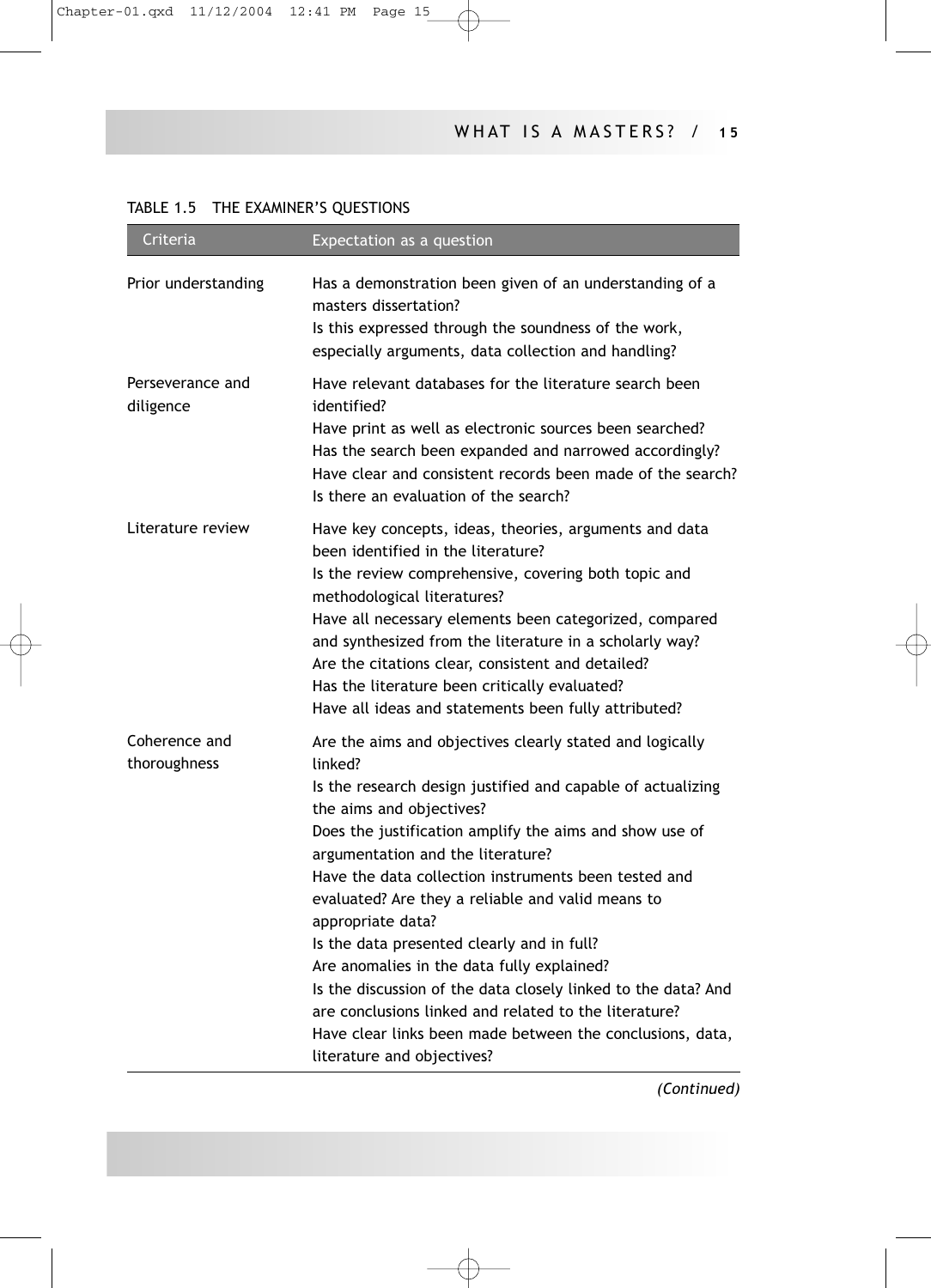## TABLE 1.5 THE EXAMINER'S QUESTIONS

| Criteria                      | Expectation as a question                                                                                                                                                                                                                                                                                                                                                                                                                                                                                                                                                                                                                                                                                         |
|-------------------------------|-------------------------------------------------------------------------------------------------------------------------------------------------------------------------------------------------------------------------------------------------------------------------------------------------------------------------------------------------------------------------------------------------------------------------------------------------------------------------------------------------------------------------------------------------------------------------------------------------------------------------------------------------------------------------------------------------------------------|
| Prior understanding           | Has a demonstration been given of an understanding of a<br>masters dissertation?<br>Is this expressed through the soundness of the work,<br>especially arguments, data collection and handling?                                                                                                                                                                                                                                                                                                                                                                                                                                                                                                                   |
| Perseverance and<br>diligence | Have relevant databases for the literature search been<br>identified?<br>Have print as well as electronic sources been searched?<br>Has the search been expanded and narrowed accordingly?<br>Have clear and consistent records been made of the search?<br>Is there an evaluation of the search?                                                                                                                                                                                                                                                                                                                                                                                                                 |
| Literature review             | Have key concepts, ideas, theories, arguments and data<br>been identified in the literature?<br>Is the review comprehensive, covering both topic and<br>methodological literatures?<br>Have all necessary elements been categorized, compared<br>and synthesized from the literature in a scholarly way?<br>Are the citations clear, consistent and detailed?<br>Has the literature been critically evaluated?<br>Have all ideas and statements been fully attributed?                                                                                                                                                                                                                                            |
| Coherence and<br>thoroughness | Are the aims and objectives clearly stated and logically<br>linked?<br>Is the research design justified and capable of actualizing<br>the aims and objectives?<br>Does the justification amplify the aims and show use of<br>argumentation and the literature?<br>Have the data collection instruments been tested and<br>evaluated? Are they a reliable and valid means to<br>appropriate data?<br>Is the data presented clearly and in full?<br>Are anomalies in the data fully explained?<br>Is the discussion of the data closely linked to the data? And<br>are conclusions linked and related to the literature?<br>Have clear links been made between the conclusions, data,<br>literature and objectives? |

(Continued)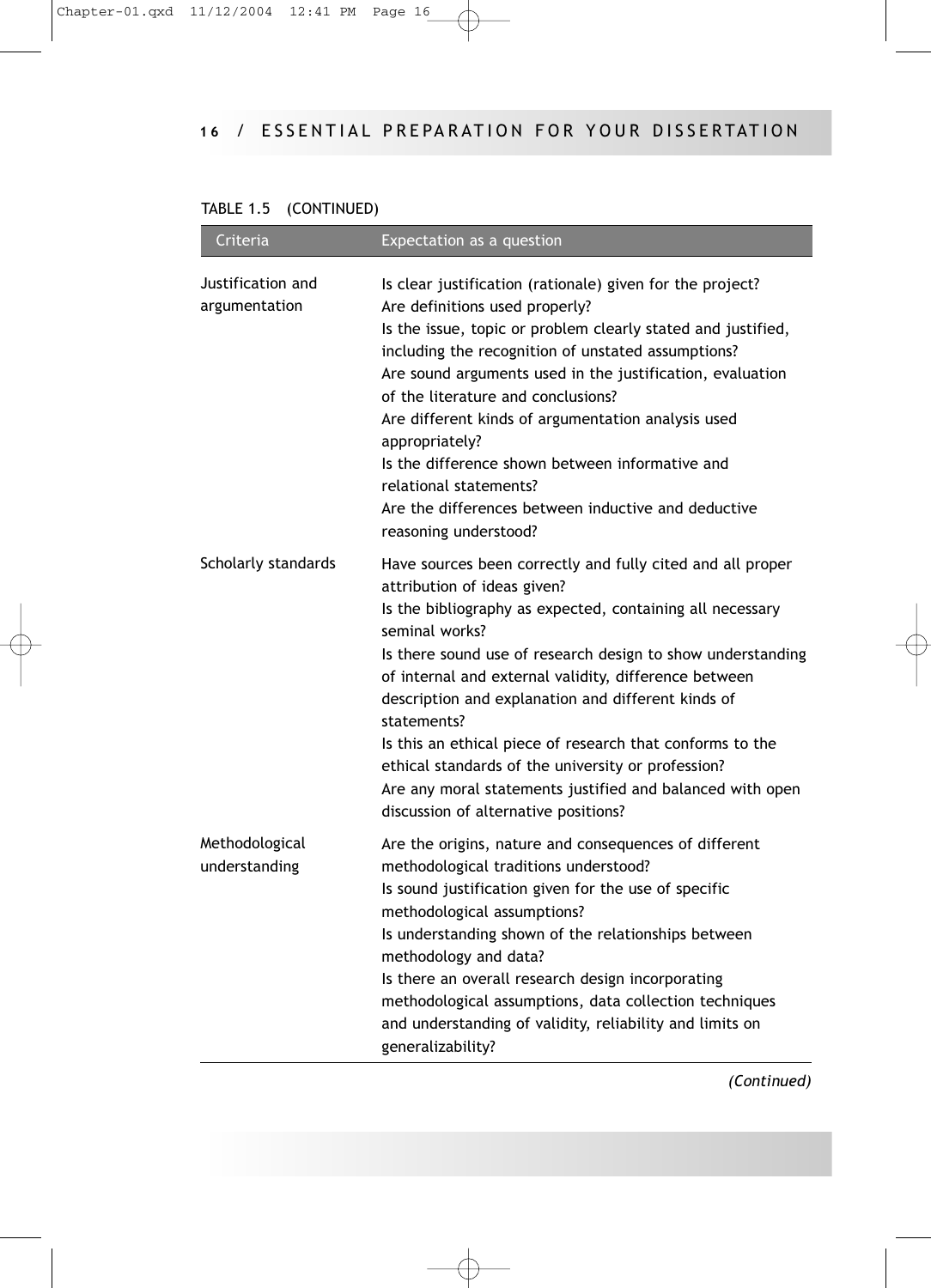## TABLE 1.5 (CONTINUED)

| Criteria                           | Expectation as a question                                                                                                                                                                                                                                                                                                                                                                                                                                                                                                                                                                     |
|------------------------------------|-----------------------------------------------------------------------------------------------------------------------------------------------------------------------------------------------------------------------------------------------------------------------------------------------------------------------------------------------------------------------------------------------------------------------------------------------------------------------------------------------------------------------------------------------------------------------------------------------|
| Justification and<br>argumentation | Is clear justification (rationale) given for the project?<br>Are definitions used properly?<br>Is the issue, topic or problem clearly stated and justified,<br>including the recognition of unstated assumptions?<br>Are sound arguments used in the justification, evaluation<br>of the literature and conclusions?<br>Are different kinds of argumentation analysis used<br>appropriately?<br>Is the difference shown between informative and<br>relational statements?<br>Are the differences between inductive and deductive<br>reasoning understood?                                     |
| Scholarly standards                | Have sources been correctly and fully cited and all proper<br>attribution of ideas given?<br>Is the bibliography as expected, containing all necessary<br>seminal works?<br>Is there sound use of research design to show understanding<br>of internal and external validity, difference between<br>description and explanation and different kinds of<br>statements?<br>Is this an ethical piece of research that conforms to the<br>ethical standards of the university or profession?<br>Are any moral statements justified and balanced with open<br>discussion of alternative positions? |
| Methodological<br>understanding    | Are the origins, nature and consequences of different<br>methodological traditions understood?<br>Is sound justification given for the use of specific<br>methodological assumptions?<br>Is understanding shown of the relationships between<br>methodology and data?<br>Is there an overall research design incorporating<br>methodological assumptions, data collection techniques<br>and understanding of validity, reliability and limits on<br>generalizability?                                                                                                                         |

(Continued)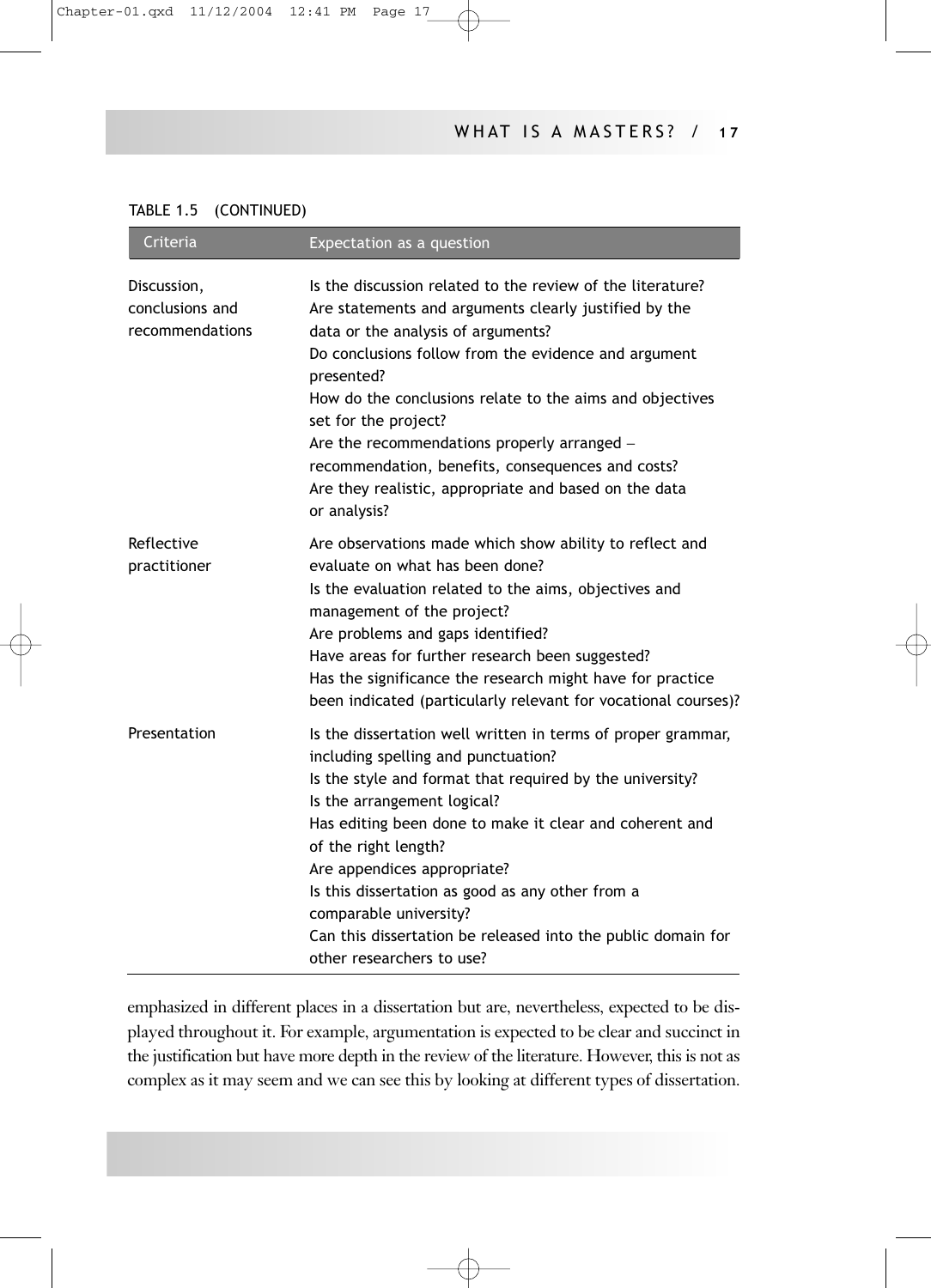#### TABLE 1.5 (CONTINUED)

| Criteria                                          | Expectation as a question                                                                                                                                                                                                                                                                                                                                                                                                                                                                        |
|---------------------------------------------------|--------------------------------------------------------------------------------------------------------------------------------------------------------------------------------------------------------------------------------------------------------------------------------------------------------------------------------------------------------------------------------------------------------------------------------------------------------------------------------------------------|
| Discussion,<br>conclusions and<br>recommendations | Is the discussion related to the review of the literature?<br>Are statements and arguments clearly justified by the<br>data or the analysis of arguments?<br>Do conclusions follow from the evidence and argument<br>presented?<br>How do the conclusions relate to the aims and objectives<br>set for the project?<br>Are the recommendations properly arranged -<br>recommendation, benefits, consequences and costs?<br>Are they realistic, appropriate and based on the data<br>or analysis? |
| Reflective<br>practitioner                        | Are observations made which show ability to reflect and<br>evaluate on what has been done?<br>Is the evaluation related to the aims, objectives and<br>management of the project?<br>Are problems and gaps identified?<br>Have areas for further research been suggested?<br>Has the significance the research might have for practice<br>been indicated (particularly relevant for vocational courses)?                                                                                         |
| Presentation                                      | Is the dissertation well written in terms of proper grammar,<br>including spelling and punctuation?<br>Is the style and format that required by the university?<br>Is the arrangement logical?<br>Has editing been done to make it clear and coherent and<br>of the right length?<br>Are appendices appropriate?<br>Is this dissertation as good as any other from a<br>comparable university?<br>Can this dissertation be released into the public domain for<br>other researchers to use?      |

emphasized in different places in a dissertation but are, nevertheless, expected to be displayed throughout it. For example, argumentation is expected to be clear and succinct in the justification but have more depth in the review of the literature. However, this is not as complex as it may seem and we can see this by looking at different types of dissertation.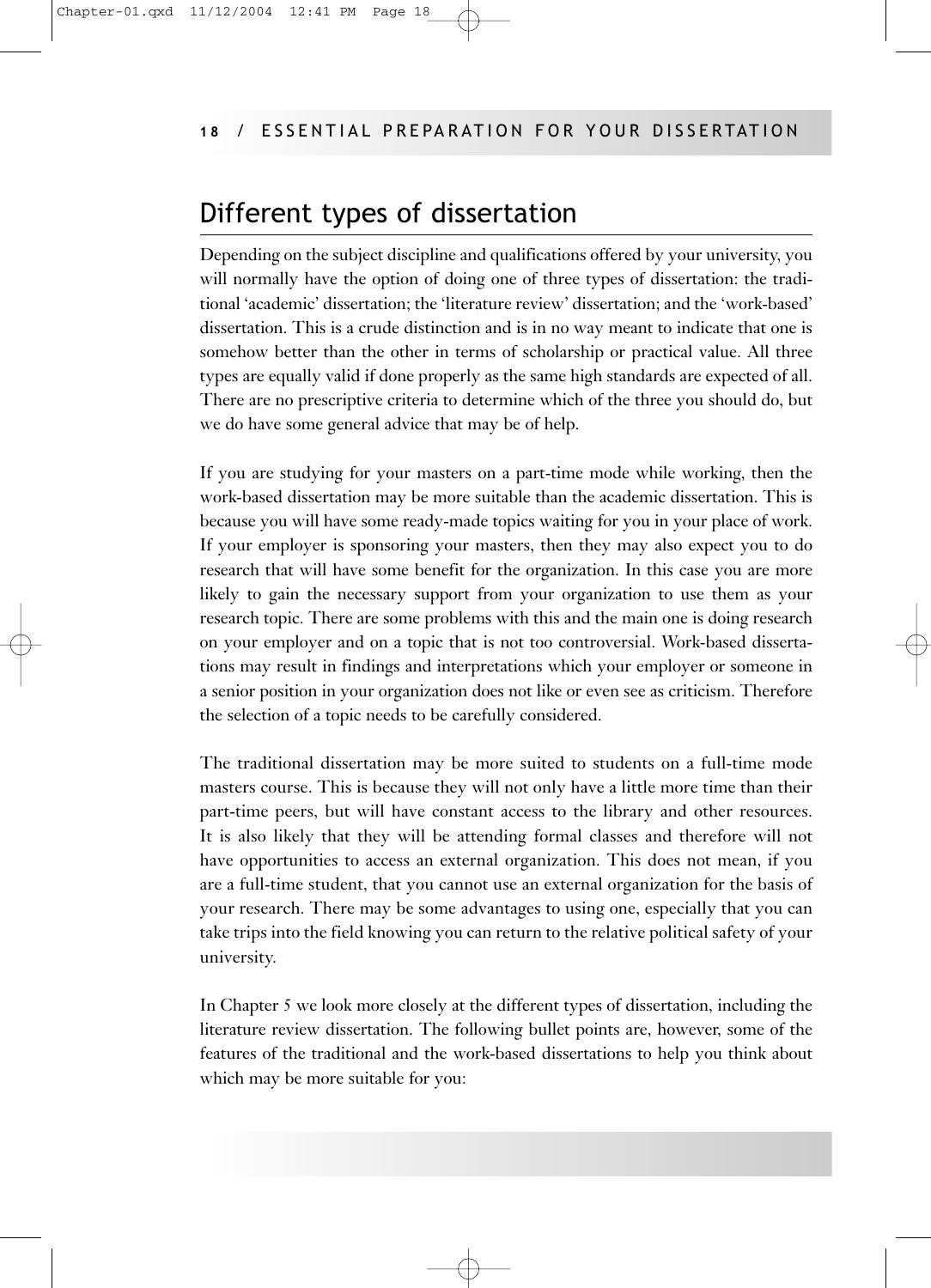# Different types of dissertation

Depending on the subject discipline and qualifications offered by your university, you will normally have the option of doing one of three types of dissertation: the traditional 'academic' dissertation; the 'literature review' dissertation; and the 'work-based' dissertation. This is a crude distinction and is in no way meant to indicate that one is somehow better than the other in terms of scholarship or practical value. All three types are equally valid if done properly as the same high standards are expected of all. There are no prescriptive criteria to determine which of the three you should do, but we do have some general advice that may be of help.

If you are studying for your masters on a part-time mode while working, then the work-based dissertation may be more suitable than the academic dissertation. This is because you will have some ready-made topics waiting for you in your place of work. If your employer is sponsoring your masters, then they may also expect you to do research that will have some benefit for the organization. In this case you are more likely to gain the necessary support from your organization to use them as your research topic. There are some problems with this and the main one is doing research on your employer and on a topic that is not too controversial. Work-based dissertations may result in findings and interpretations which your employer or someone in a senior position in your organization does not like or even see as criticism. Therefore the selection of a topic needs to be carefully considered.

The traditional dissertation may be more suited to students on a full-time mode masters course. This is because they will not only have a little more time than their part-time peers, but will have constant access to the library and other resources. It is also likely that they will be attending formal classes and therefore will not have opportunities to access an external organization. This does not mean, if you are a full-time student, that you cannot use an external organization for the basis of your research. There may be some advantages to using one, especially that you can take trips into the field knowing you can return to the relative political safety of your university.

In Chapter 5 we look more closely at the different types of dissertation, including the literature review dissertation. The following bullet points are, however, some of the features of the traditional and the work-based dissertations to help you think about which may be more suitable for you: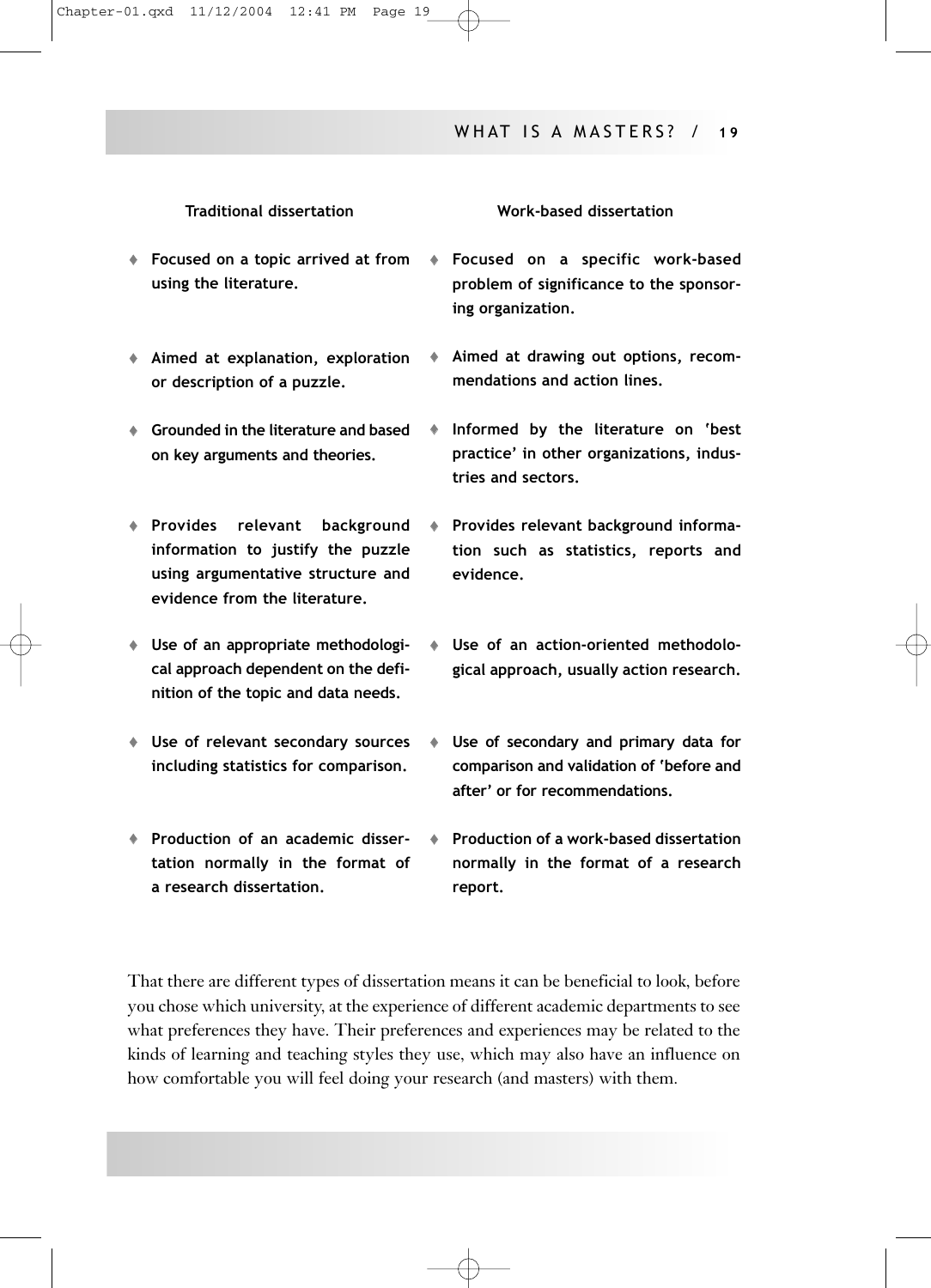#### Traditional dissertation

## Work-based dissertation

- ♦ Focused on a topic arrived at from using the literature.
- ♦ Aimed at explanation, exploration or description of a puzzle.
- Grounded in the literature and based on key arguments and theories.
- ♦ Provides relevant background information to justify the puzzle using argumentative structure and evidence from the literature.
- Use of an appropriate methodological approach dependent on the definition of the topic and data needs.
- Use of relevant secondary sources including statistics for comparison.
- Production of an academic dissertation normally in the format of a research dissertation.
- Focused on a specific work-based problem of significance to the sponsoring organization.
- Aimed at drawing out options, recommendations and action lines.
- Informed by the literature on 'best practice' in other organizations, industries and sectors.
- Provides relevant background information such as statistics, reports and evidence.
- Use of an action-oriented methodological approach, usually action research.
- Use of secondary and primary data for comparison and validation of 'before and after' or for recommendations.
- Production of a work-based dissertation normally in the format of a research report.

That there are different types of dissertation means it can be beneficial to look, before you chose which university, at the experience of different academic departments to see what preferences they have. Their preferences and experiences may be related to the kinds of learning and teaching styles they use, which may also have an influence on how comfortable you will feel doing your research (and masters) with them.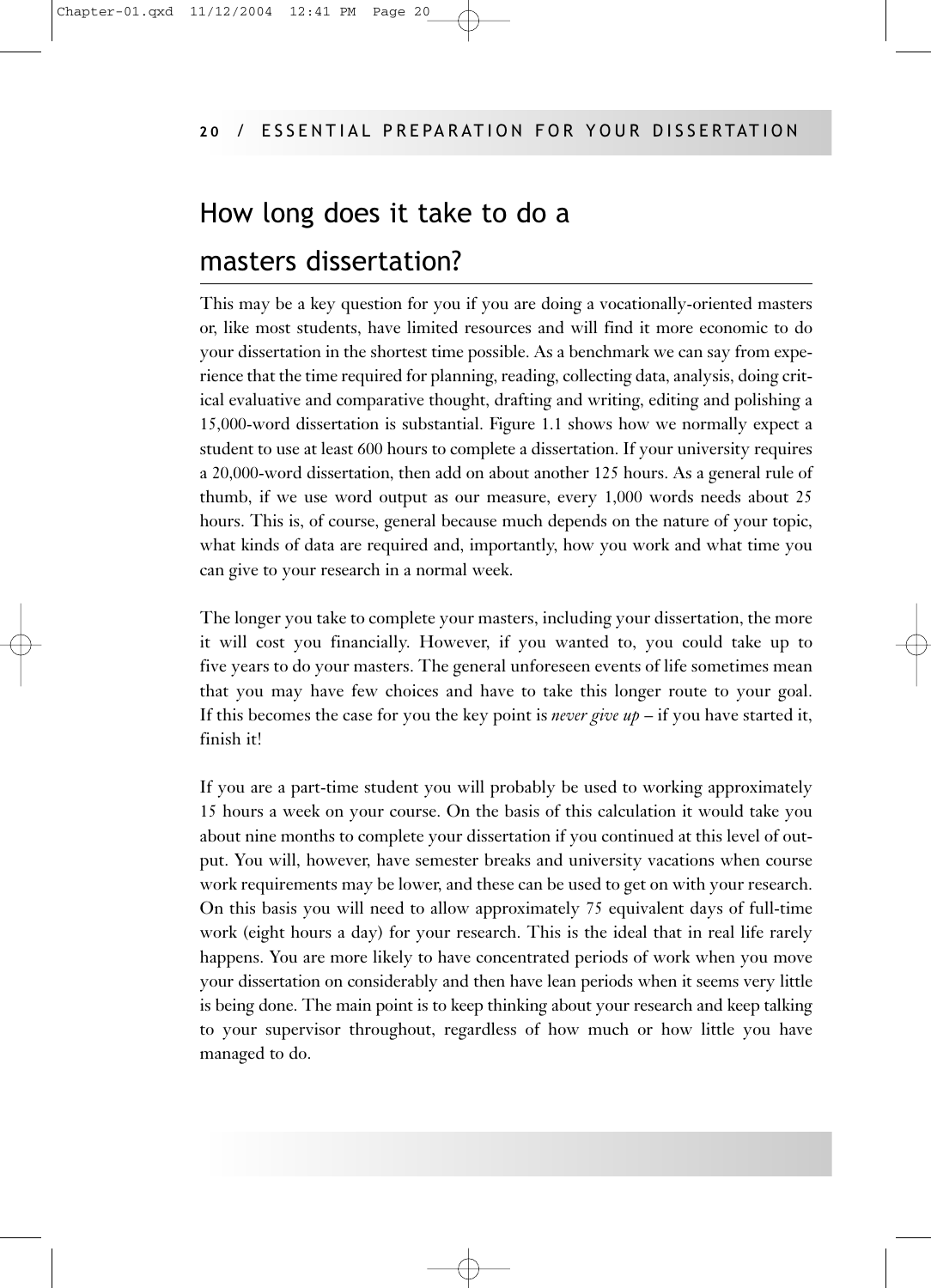# How long does it take to do a masters dissertation?

This may be a key question for you if you are doing a vocationally-oriented masters or, like most students, have limited resources and will find it more economic to do your dissertation in the shortest time possible. As a benchmark we can say from experience that the time required for planning, reading, collecting data, analysis, doing critical evaluative and comparative thought, drafting and writing, editing and polishing a 15,000-word dissertation is substantial. Figure 1.1 shows how we normally expect a student to use at least 600 hours to complete a dissertation. If your university requires a 20,000-word dissertation, then add on about another 125 hours. As a general rule of thumb, if we use word output as our measure, every 1,000 words needs about 25 hours. This is, of course, general because much depends on the nature of your topic, what kinds of data are required and, importantly, how you work and what time you can give to your research in a normal week.

The longer you take to complete your masters, including your dissertation, the more it will cost you financially. However, if you wanted to, you could take up to five years to do your masters. The general unforeseen events of life sometimes mean that you may have few choices and have to take this longer route to your goal. If this becomes the case for you the key point is *never give up* – if you have started it, finish it!

If you are a part-time student you will probably be used to working approximately 15 hours a week on your course. On the basis of this calculation it would take you about nine months to complete your dissertation if you continued at this level of output. You will, however, have semester breaks and university vacations when course work requirements may be lower, and these can be used to get on with your research. On this basis you will need to allow approximately 75 equivalent days of full-time work (eight hours a day) for your research. This is the ideal that in real life rarely happens. You are more likely to have concentrated periods of work when you move your dissertation on considerably and then have lean periods when it seems very little is being done. The main point is to keep thinking about your research and keep talking to your supervisor throughout, regardless of how much or how little you have managed to do.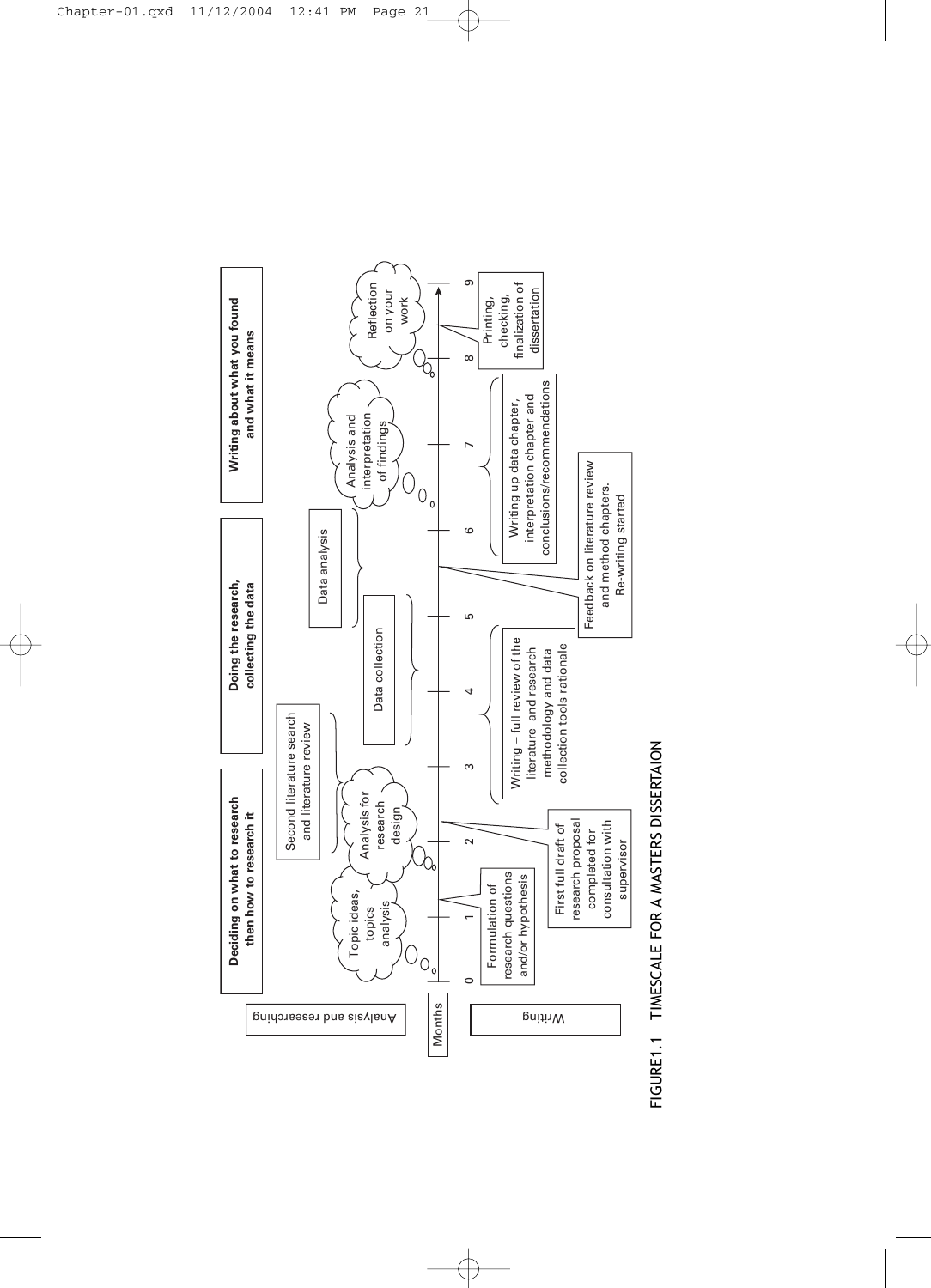

 $\overline{\varphi}$ 

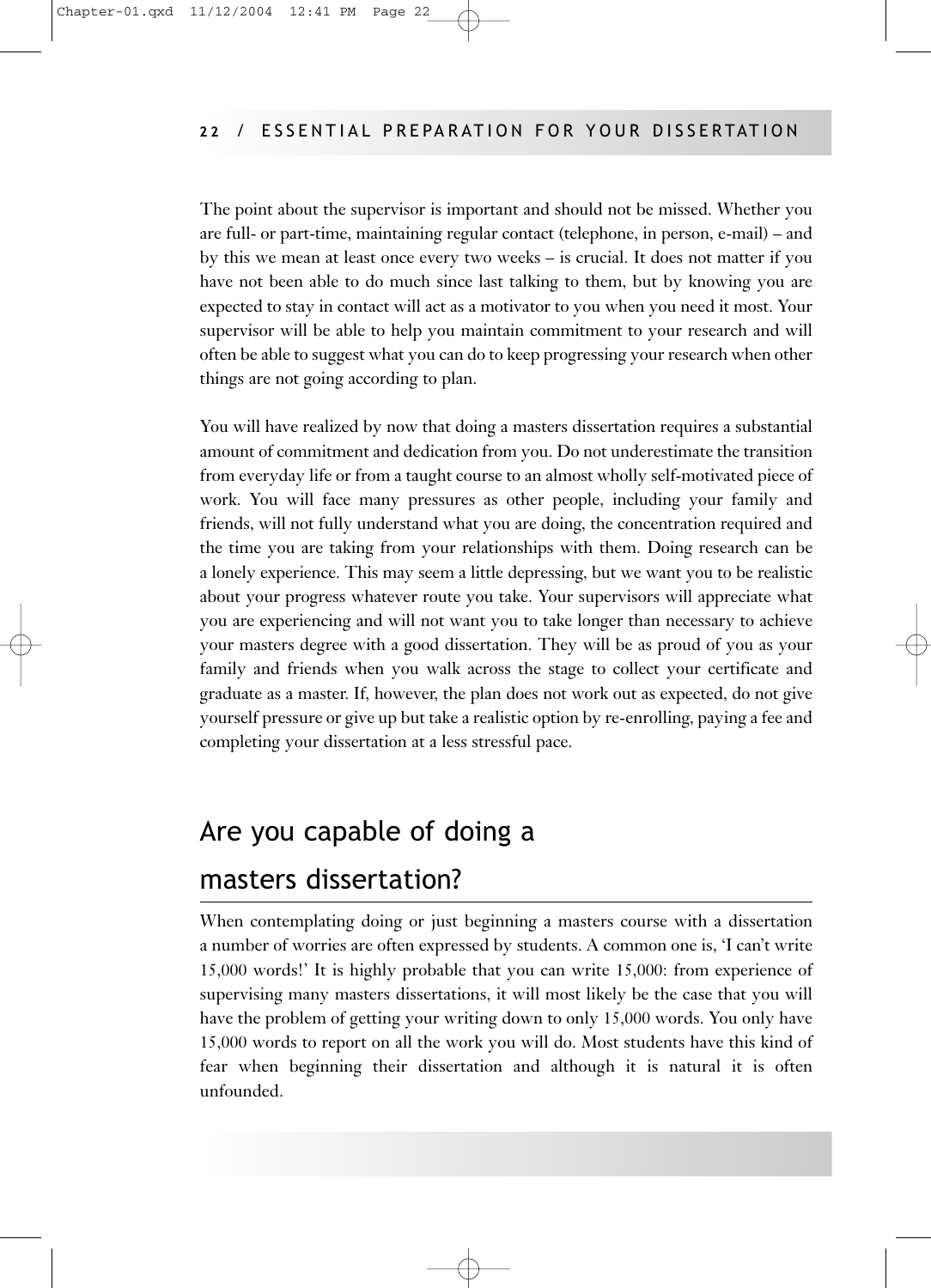The point about the supervisor is important and should not be missed. Whether you are full- or part-time, maintaining regular contact (telephone, in person, e-mail) – and by this we mean at least once every two weeks – is crucial. It does not matter if you have not been able to do much since last talking to them, but by knowing you are expected to stay in contact will act as a motivator to you when you need it most. Your supervisor will be able to help you maintain commitment to your research and will often be able to suggest what you can do to keep progressing your research when other things are not going according to plan.

You will have realized by now that doing a masters dissertation requires a substantial amount of commitment and dedication from you. Do not underestimate the transition from everyday life or from a taught course to an almost wholly self-motivated piece of work. You will face many pressures as other people, including your family and friends, will not fully understand what you are doing, the concentration required and the time you are taking from your relationships with them. Doing research can be a lonely experience. This may seem a little depressing, but we want you to be realistic about your progress whatever route you take. Your supervisors will appreciate what you are experiencing and will not want you to take longer than necessary to achieve your masters degree with a good dissertation. They will be as proud of you as your family and friends when you walk across the stage to collect your certificate and graduate as a master. If, however, the plan does not work out as expected, do not give yourself pressure or give up but take a realistic option by re-enrolling, paying a fee and completing your dissertation at a less stressful pace.

# Are you capable of doing a

## masters dissertation?

When contemplating doing or just beginning a masters course with a dissertation a number of worries are often expressed by students. A common one is, 'I can't write 15,000 words!' It is highly probable that you can write 15,000: from experience of supervising many masters dissertations, it will most likely be the case that you will have the problem of getting your writing down to only 15,000 words. You only have 15,000 words to report on all the work you will do. Most students have this kind of fear when beginning their dissertation and although it is natural it is often unfounded.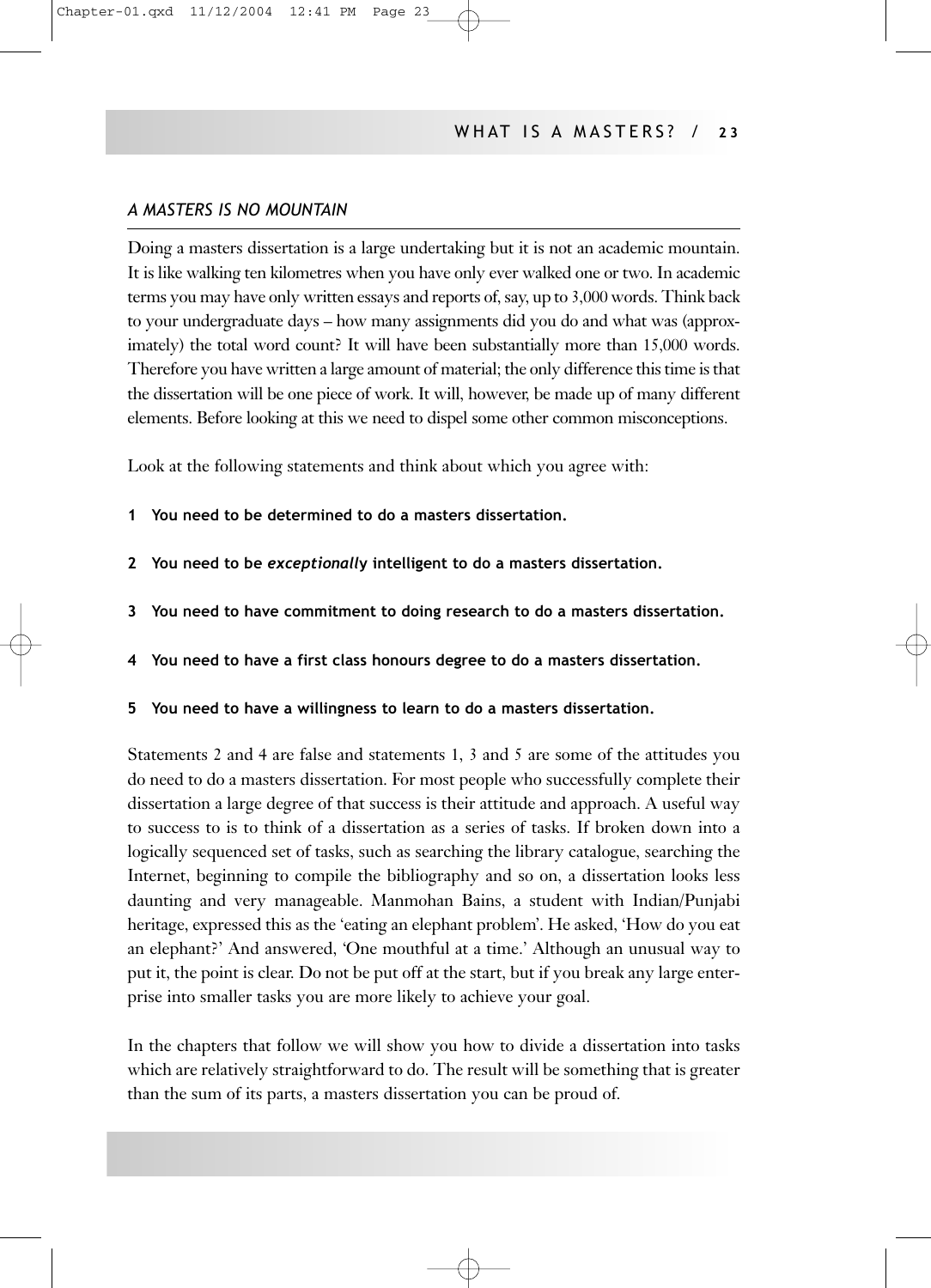#### A MASTERS IS NO MOUNTAIN

Doing a masters dissertation is a large undertaking but it is not an academic mountain. It is like walking ten kilometres when you have only ever walked one or two. In academic terms you may have only written essays and reports of, say, up to 3,000 words. Think back to your undergraduate days – how many assignments did you do and what was (approximately) the total word count? It will have been substantially more than 15,000 words. Therefore you have written a large amount of material; the only difference this time is that the dissertation will be one piece of work. It will, however, be made up of many different elements. Before looking at this we need to dispel some other common misconceptions.

Look at the following statements and think about which you agree with:

- You need to be determined to do a masters dissertation.
- 2 You need to be exceptionally intelligent to do a masters dissertation.
- 3 You need to have commitment to doing research to do a masters dissertation.
- You need to have a first class honours degree to do a masters dissertation.
- 5 You need to have a willingness to learn to do a masters dissertation.

Statements 2 and 4 are false and statements 1, 3 and 5 are some of the attitudes you do need to do a masters dissertation. For most people who successfully complete their dissertation a large degree of that success is their attitude and approach. A useful way to success to is to think of a dissertation as a series of tasks. If broken down into a logically sequenced set of tasks, such as searching the library catalogue, searching the Internet, beginning to compile the bibliography and so on, a dissertation looks less daunting and very manageable. Manmohan Bains, a student with Indian/Punjabi heritage, expressed this as the 'eating an elephant problem'. He asked, 'How do you eat an elephant?' And answered, 'One mouthful at a time.' Although an unusual way to put it, the point is clear. Do not be put off at the start, but if you break any large enterprise into smaller tasks you are more likely to achieve your goal.

In the chapters that follow we will show you how to divide a dissertation into tasks which are relatively straightforward to do. The result will be something that is greater than the sum of its parts, a masters dissertation you can be proud of.

#### Chapter-01.qxd 11/12/2004 12:41 PM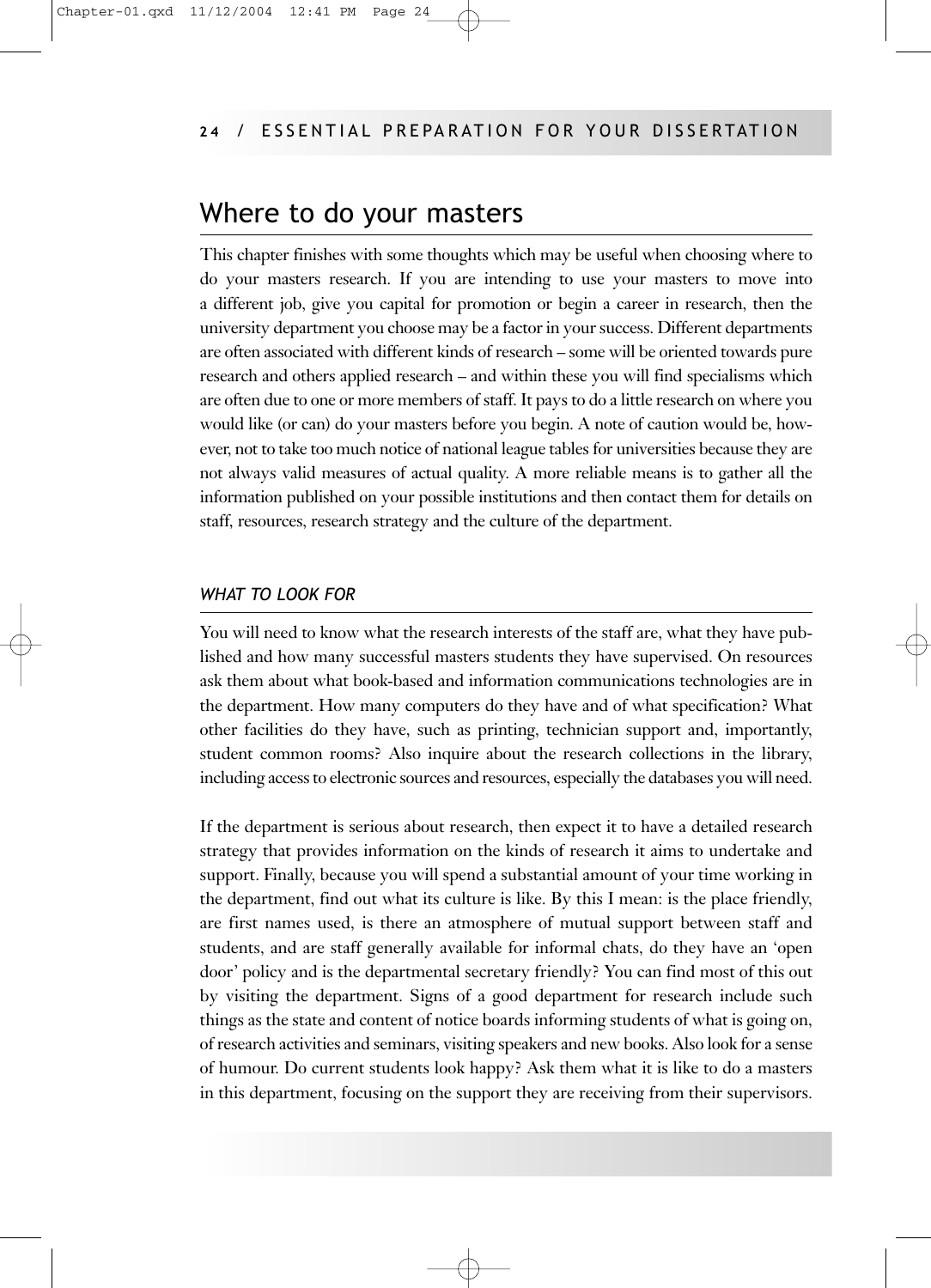## Where to do your masters

This chapter finishes with some thoughts which may be useful when choosing where to do your masters research. If you are intending to use your masters to move into a different job, give you capital for promotion or begin a career in research, then the university department you choose may be a factor in your success. Different departments are often associated with different kinds of research – some will be oriented towards pure research and others applied research – and within these you will find specialisms which are often due to one or more members of staff. It pays to do a little research on where you would like (or can) do your masters before you begin. A note of caution would be, however, not to take too much notice of national league tables for universities because they are not always valid measures of actual quality. A more reliable means is to gather all the information published on your possible institutions and then contact them for details on staff, resources, research strategy and the culture of the department.

#### WHAT TO LOOK FOR

You will need to know what the research interests of the staff are, what they have published and how many successful masters students they have supervised. On resources ask them about what book-based and information communications technologies are in the department. How many computers do they have and of what specification? What other facilities do they have, such as printing, technician support and, importantly, student common rooms? Also inquire about the research collections in the library, including access to electronic sources and resources, especially the databases you will need.

If the department is serious about research, then expect it to have a detailed research strategy that provides information on the kinds of research it aims to undertake and support. Finally, because you will spend a substantial amount of your time working in the department, find out what its culture is like. By this I mean: is the place friendly, are first names used, is there an atmosphere of mutual support between staff and students, and are staff generally available for informal chats, do they have an 'open door' policy and is the departmental secretary friendly? You can find most of this out by visiting the department. Signs of a good department for research include such things as the state and content of notice boards informing students of what is going on, of research activities and seminars, visiting speakers and new books. Also look for a sense of humour. Do current students look happy? Ask them what it is like to do a masters in this department, focusing on the support they are receiving from their supervisors.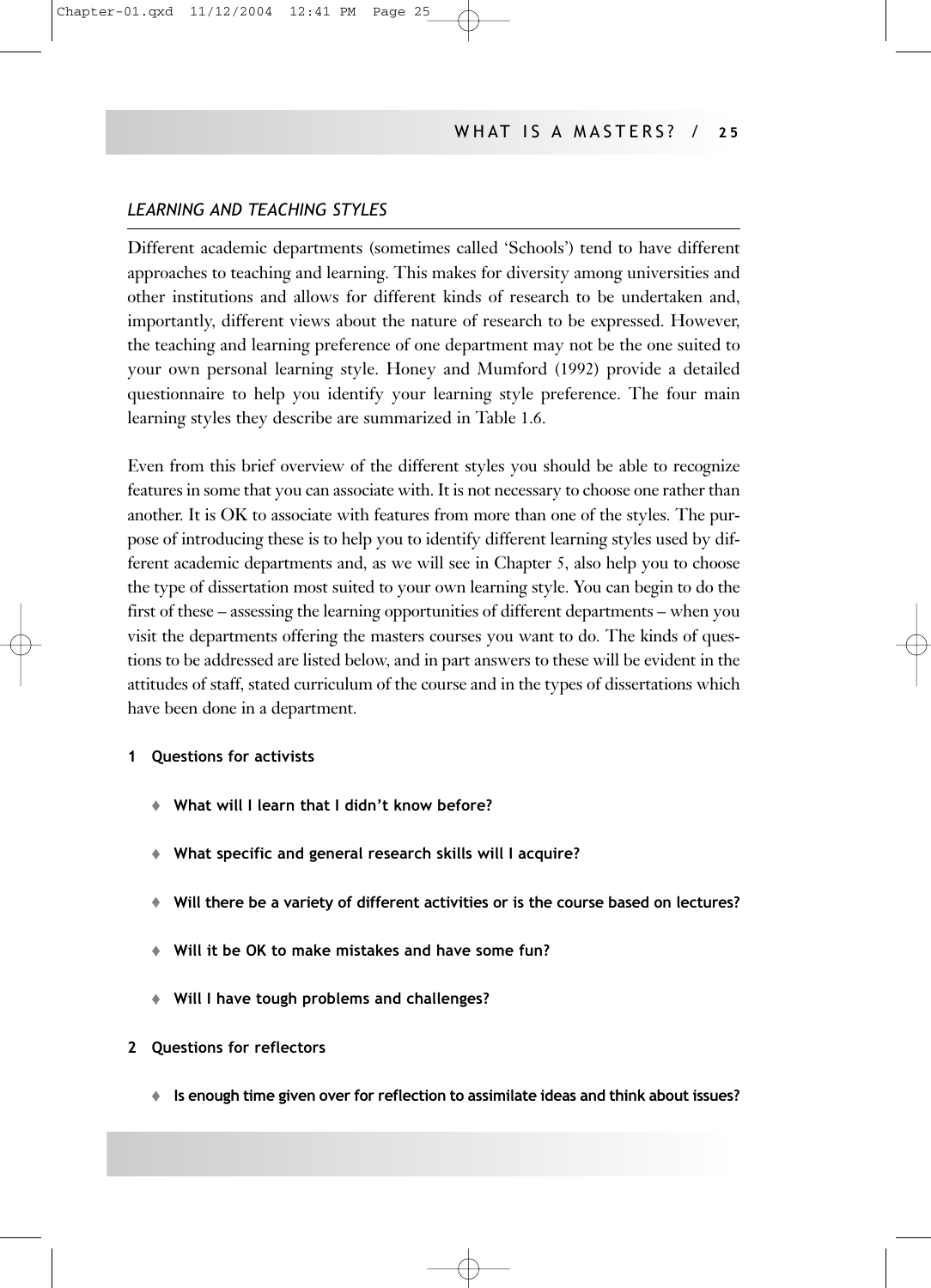Chapter-01.qxd 11/12/2004 12:41 PM

Different academic departments (sometimes called 'Schools') tend to have different approaches to teaching and learning. This makes for diversity among universities and other institutions and allows for different kinds of research to be undertaken and, importantly, different views about the nature of research to be expressed. However, the teaching and learning preference of one department may not be the one suited to your own personal learning style. Honey and Mumford (1992) provide a detailed questionnaire to help you identify your learning style preference. The four main learning styles they describe are summarized in Table 1.6.

Even from this brief overview of the different styles you should be able to recognize features in some that you can associate with. It is not necessary to choose one rather than another. It is OK to associate with features from more than one of the styles. The purpose of introducing these is to help you to identify different learning styles used by different academic departments and, as we will see in Chapter 5, also help you to choose the type of dissertation most suited to your own learning style. You can begin to do the first of these – assessing the learning opportunities of different departments – when you visit the departments offering the masters courses you want to do. The kinds of questions to be addressed are listed below, and in part answers to these will be evident in the attitudes of staff, stated curriculum of the course and in the types of dissertations which have been done in a department.

#### 1 Questions for activists

- $\triangleright$  What will I learn that I didn't know before?
- What specific and general research skills will I acquire?
- ♦ Will there be a variety of different activities or is the course based on lectures?
- Will it be OK to make mistakes and have some fun?
- Will I have tough problems and challenges?

#### 2 Questions for reflectors

♦ Is enough time given over for reflection to assimilate ideas and think about issues?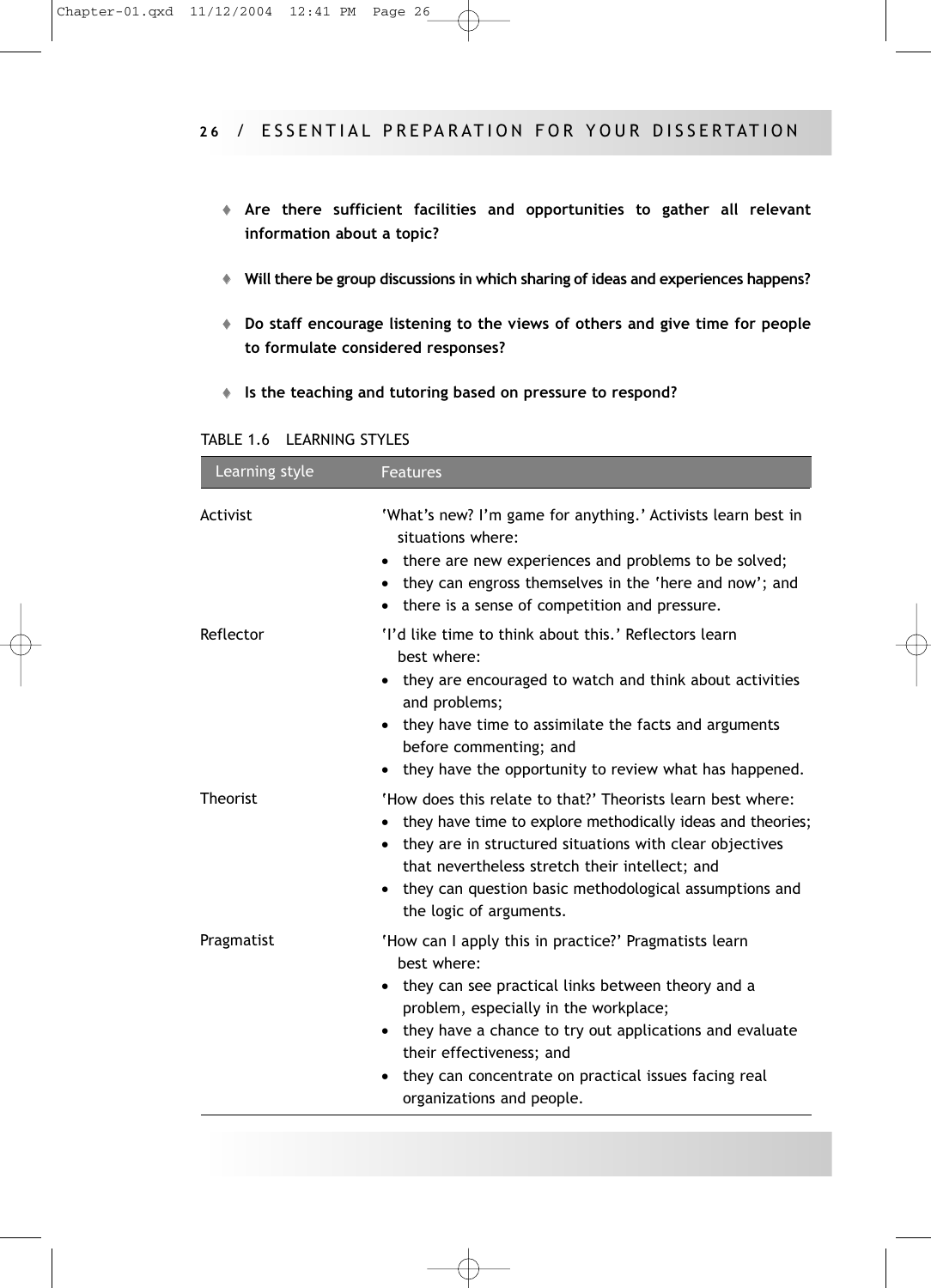- ♦ Are there sufficient facilities and opportunities to gather all relevant information about a topic?
- ♦ Will there be group discussions in which sharing of ideas and experiences happens?
- ♦ Do staff encourage listening to the views of others and give time for people to formulate considered responses?
- ♦ Is the teaching and tutoring based on pressure to respond?

TABLE 1.6 LEARNING STYLES

| Learning style | <b>Features</b>                                                                                                                                                                                                                                                                                                                                    |
|----------------|----------------------------------------------------------------------------------------------------------------------------------------------------------------------------------------------------------------------------------------------------------------------------------------------------------------------------------------------------|
| Activist       | 'What's new? I'm game for anything.' Activists learn best in<br>situations where:<br>there are new experiences and problems to be solved;<br>• they can engross themselves in the 'here and now'; and<br>• there is a sense of competition and pressure.                                                                                           |
| Reflector      | 'I'd like time to think about this.' Reflectors learn<br>best where:<br>• they are encouraged to watch and think about activities<br>and problems;<br>• they have time to assimilate the facts and arguments<br>before commenting; and<br>• they have the opportunity to review what has happened.                                                 |
| Theorist       | 'How does this relate to that?' Theorists learn best where:<br>• they have time to explore methodically ideas and theories;<br>• they are in structured situations with clear objectives<br>that nevertheless stretch their intellect; and<br>• they can question basic methodological assumptions and<br>the logic of arguments.                  |
| Pragmatist     | 'How can I apply this in practice?' Pragmatists learn<br>best where:<br>• they can see practical links between theory and a<br>problem, especially in the workplace;<br>• they have a chance to try out applications and evaluate<br>their effectiveness; and<br>they can concentrate on practical issues facing real<br>organizations and people. |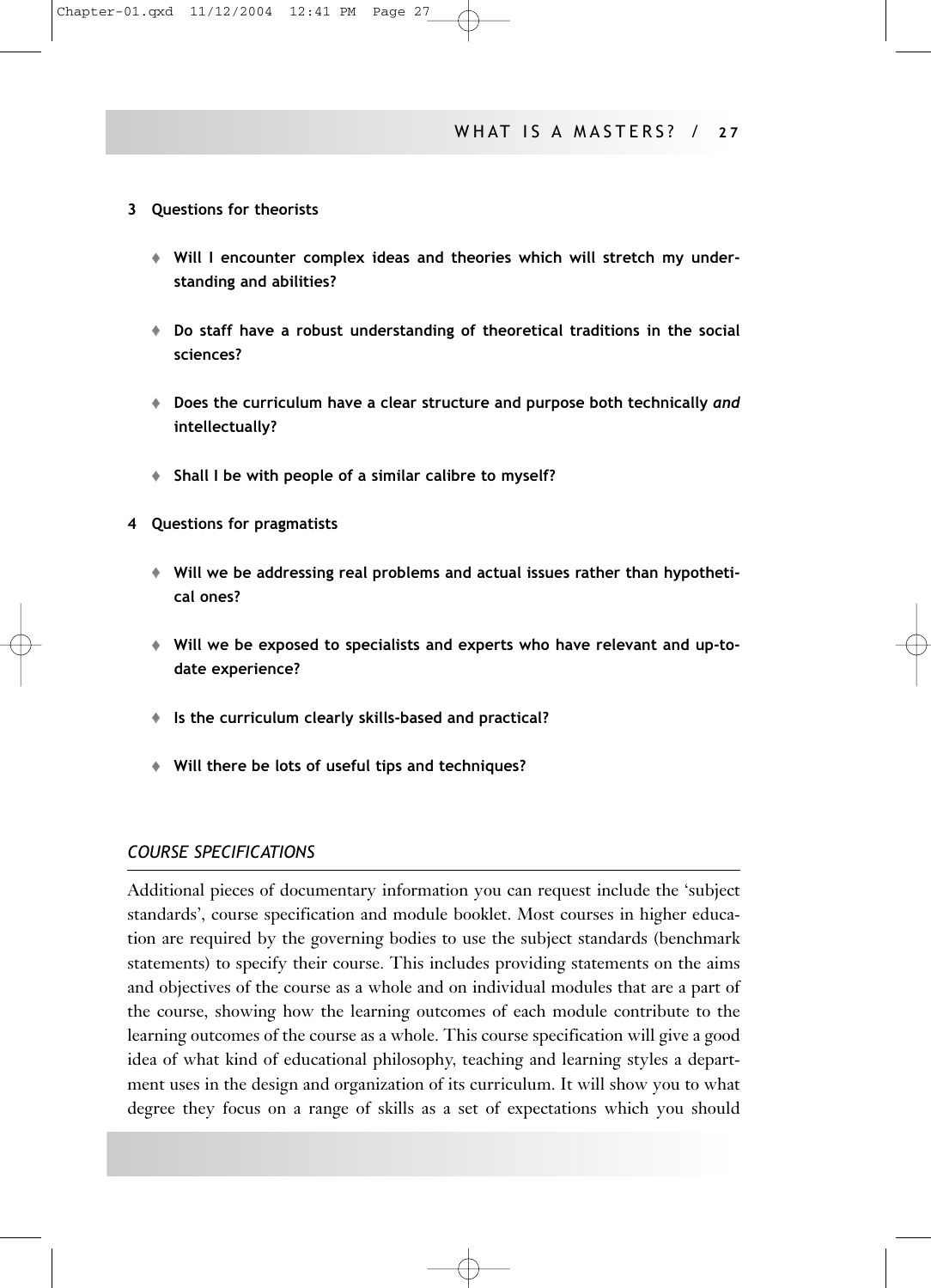- 3 Questions for theorists
	- ♦ Will I encounter complex ideas and theories which will stretch my understanding and abilities?
	- ♦ Do staff have a robust understanding of theoretical traditions in the social sciences?
	- ♦ Does the curriculum have a clear structure and purpose both technically and intellectually?
	- ♦ Shall I be with people of a similar calibre to myself?
- 4 Questions for pragmatists
	- ♦ Will we be addressing real problems and actual issues rather than hypothetical ones?
	- ♦ Will we be exposed to specialists and experts who have relevant and up-todate experience?
	- Is the curriculum clearly skills-based and practical?
	- ♦ Will there be lots of useful tips and techniques?

#### COURSE SPECIFICATIONS

Additional pieces of documentary information you can request include the 'subject standards', course specification and module booklet. Most courses in higher education are required by the governing bodies to use the subject standards (benchmark statements) to specify their course. This includes providing statements on the aims and objectives of the course as a whole and on individual modules that are a part of the course, showing how the learning outcomes of each module contribute to the learning outcomes of the course as a whole. This course specification will give a good idea of what kind of educational philosophy, teaching and learning styles a department uses in the design and organization of its curriculum. It will show you to what degree they focus on a range of skills as a set of expectations which you should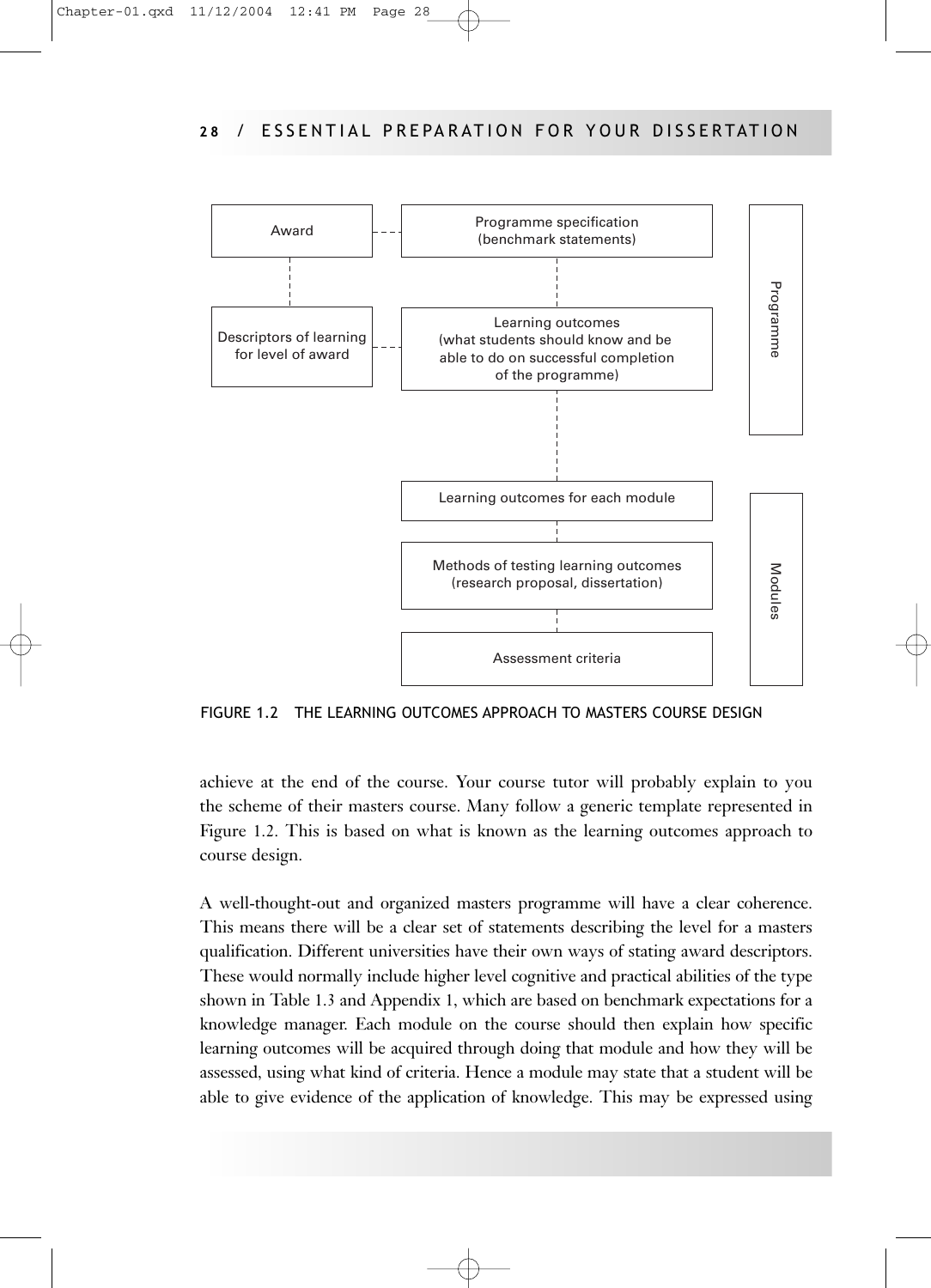

FIGURE 1.2 THE LEARNING OUTCOMES APPROACH TO MASTERS COURSE DESIGN

achieve at the end of the course. Your course tutor will probably explain to you the scheme of their masters course. Many follow a generic template represented in Figure 1.2. This is based on what is known as the learning outcomes approach to course design.

A well-thought-out and organized masters programme will have a clear coherence. This means there will be a clear set of statements describing the level for a masters qualification. Different universities have their own ways of stating award descriptors. These would normally include higher level cognitive and practical abilities of the type shown in Table 1.3 and Appendix 1, which are based on benchmark expectations for a knowledge manager. Each module on the course should then explain how specific learning outcomes will be acquired through doing that module and how they will be assessed, using what kind of criteria. Hence a module may state that a student will be able to give evidence of the application of knowledge. This may be expressed using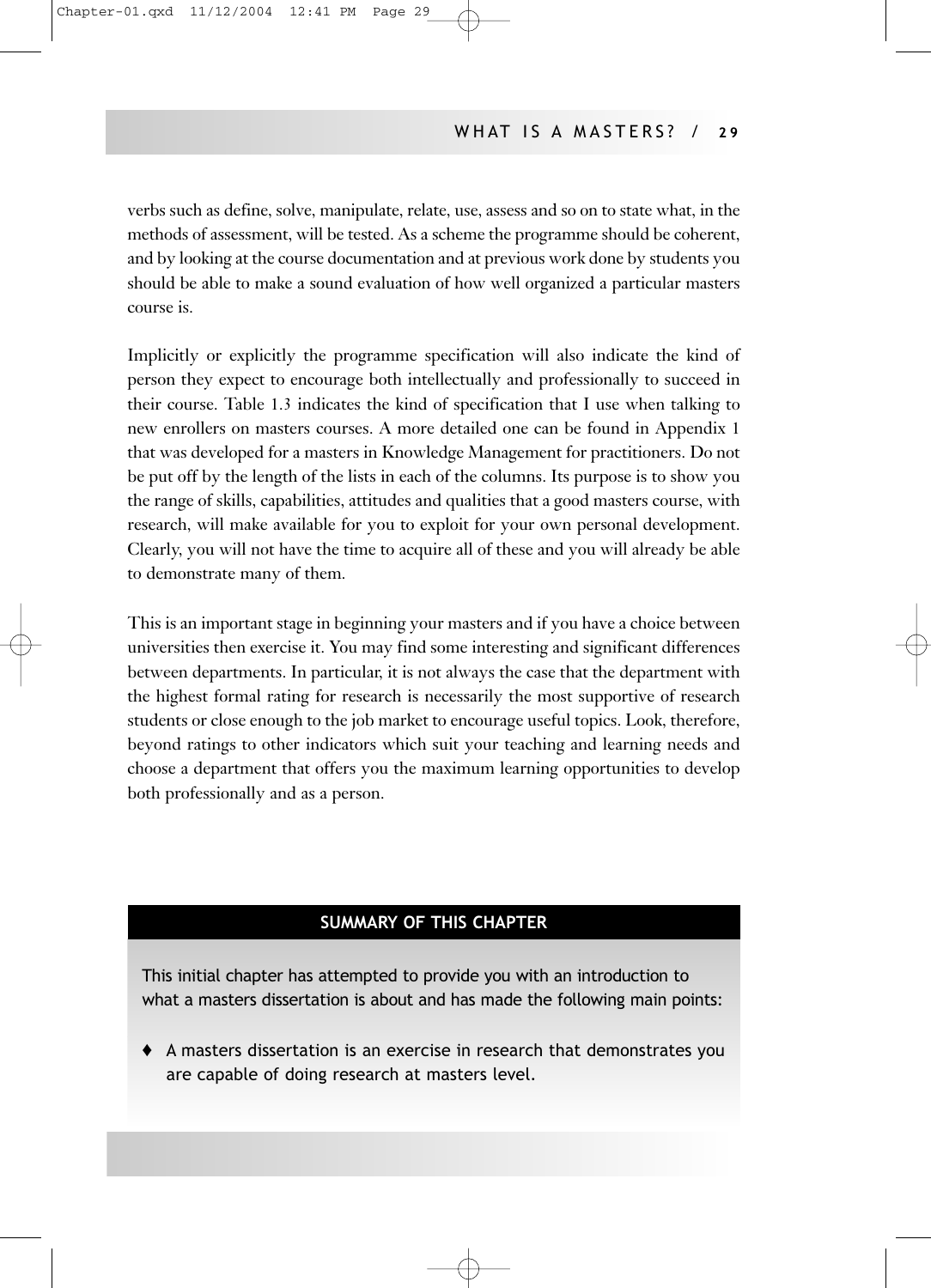verbs such as define, solve, manipulate, relate, use, assess and so on to state what, in the methods of assessment, will be tested. As a scheme the programme should be coherent, and by looking at the course documentation and at previous work done by students you should be able to make a sound evaluation of how well organized a particular masters course is.

Chapter-01.qxd 11/12/2004 12:41 PM Page 29

Implicitly or explicitly the programme specification will also indicate the kind of person they expect to encourage both intellectually and professionally to succeed in their course. Table 1.3 indicates the kind of specification that I use when talking to new enrollers on masters courses. A more detailed one can be found in Appendix 1 that was developed for a masters in Knowledge Management for practitioners. Do not be put off by the length of the lists in each of the columns. Its purpose is to show you the range of skills, capabilities, attitudes and qualities that a good masters course, with research, will make available for you to exploit for your own personal development. Clearly, you will not have the time to acquire all of these and you will already be able to demonstrate many of them.

This is an important stage in beginning your masters and if you have a choice between universities then exercise it. You may find some interesting and significant differences between departments. In particular, it is not always the case that the department with the highest formal rating for research is necessarily the most supportive of research students or close enough to the job market to encourage useful topics. Look, therefore, beyond ratings to other indicators which suit your teaching and learning needs and choose a department that offers you the maximum learning opportunities to develop both professionally and as a person.

### SUMMARY OF THIS CHAPTER

This initial chapter has attempted to provide you with an introduction to what a masters dissertation is about and has made the following main points:

♦ A masters dissertation is an exercise in research that demonstrates you are capable of doing research at masters level.